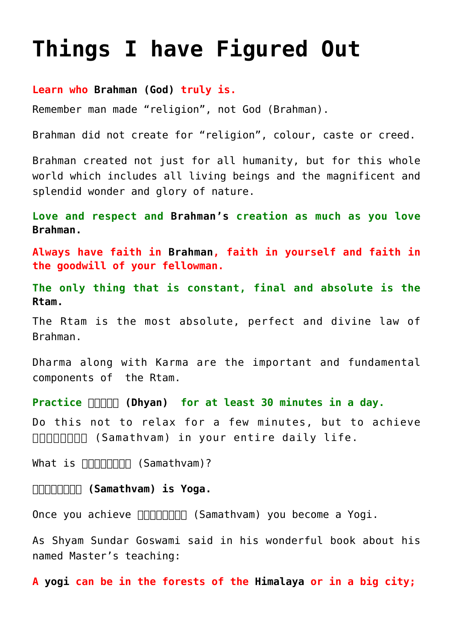# **[Things I have Figured Out](https://aryadharma.world/articles/figured_out/)**

# **Learn who [Brahman \(God\)](https://aryadharma.world/concepts/brahman/) truly is.**

Remember man made "religion", not [God \(Brahman\)](http://aryadharma.world/brahman/).

Brahman did not create for "religion", colour, caste or creed.

Brahman created not just for all humanity, but for this whole world which includes all living beings and the magnificent and splendid wonder and glory of [nature.](http://aryadharma.world/articles/nature/)

**Love and respect and [Brahman's](http://aryadharma.world/brahman/) creation as much as you love [Brahman.](http://aryadharma.world/brahman/)**

**Always have faith in [Brahman](http://aryadharma.world/brahman/), faith in yourself and faith in the goodwill of your fellowman.**

**The only thing that is constant, final and absolute is the [Rtam.](https://en.wikipedia.org/wiki/%E1%B9%9Ata)**

The [Rtam](https://en.wikipedia.org/wiki/%E1%B9%9Ata) is the most absolute, perfect and divine law of [Brahman](https://aryadharma.world/brahman/).

[Dharma](https://aryadharma.world/vedasandupanishads/dharma/) along with [Karma](https://aryadharma.world/vedasandupanishads/karma-or-destiny/) are the important and fundamental components of the [Rtam](https://en.wikipedia.org/wiki/%E1%B9%9Ata).

**Practice <b><b>INDI** (Dhyan) for at least 30 minutes in a day.

Do this not to relax for a few minutes, but to achieve [समत्वम्ं \(Samathvam\)](https://aryadharma.world/vedasandupanishads/samathvam-is-yoga/) in your entire daily life.

What is  $\Box \Box \Box \Box \Box \Box \Box$  (Samathvam)?

**[समत्वम्ं \(Samathvam\)](https://aryadharma.world/vedasandupanishads/samathvam-is-yoga/) is [Yoga](https://aryadharma.world/brahman/yoga/).**

Once you achieve  $\Box\Box\Box\Box\Box\Box$  (Samathvam) you become a Yogi.

As [Shyam Sundar Goswami](http://www.goswamiyogainstitute.com/sri-goswami/) said in his wonderful book about his named Master's teaching:

**A [yogi](https://en.wikipedia.org/wiki/Yogi) can be in the forests of the [Himalaya](https://en.wikipedia.org/wiki/Himalayas) or in a big city;**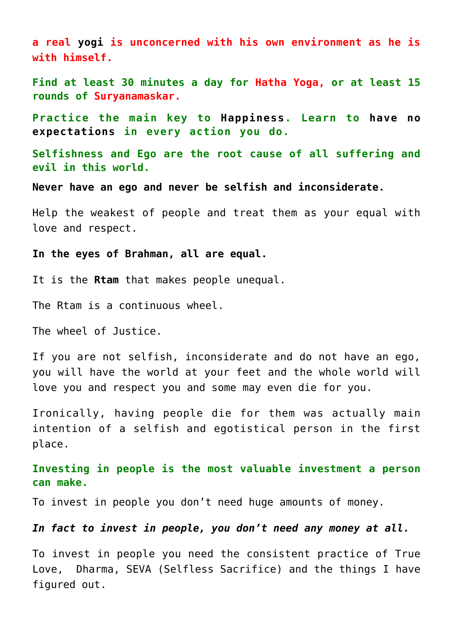**a real [yogi](https://en.wikipedia.org/wiki/Yogi) is unconcerned with his own environment as he is with himself.**

**Find at least 30 minutes a day for [Hatha Yoga,](http://en.wikipedia.org/wiki/Hatha_yoga) or at least 15 rounds of [Suryanamaskar](http://en.wikipedia.org/wiki/Surya_Namaskara).**

**Practice the main key to [Happiness.](https://aryadharma.world/articles/what-is-true-family/the-main-key-to-happiness/) Learn to [have no](https://aryadharma.world/articles/what-is-true-family/the-main-key-to-happiness/) [expectations](https://aryadharma.world/articles/what-is-true-family/the-main-key-to-happiness/) in every action you do.**

**Selfishness and Ego are the root cause of all suffering and evil in this world.**

**Never have an ego and never be selfish and inconsiderate.** 

Help the weakest of people and treat them as your equal with love and respect.

**In the eyes of [Brahman](http://aryadharma.world/brahman/), all are equal.**

It is the **[Rtam](https://en.wikipedia.org/wiki/%E1%B9%9Ata)** that makes people unequal.

The [Rtam](https://en.wikipedia.org/wiki/%E1%B9%9Ata) is a continuous wheel.

The wheel of [Justice](http://aryadharma.world/justice/).

If you are not selfish, inconsiderate and do not have an ego, you will have the world at your feet and the whole world will love you and respect you and some may even die for you.

Ironically, having people die for them was actually main intention of a selfish and egotistical person in the first place.

**Investing in people is the most valuable investment a person can make.**

To invest in people you don't need huge amounts of money.

*In fact to invest in people, you don't need any money at all.*

To invest in people you need the consistent practice of [True](https://artofrealwealth.wordpress.com/articles/true-love-and-real-wealth/) [Love](https://artofrealwealth.wordpress.com/articles/true-love-and-real-wealth/), [Dharma,](http://aryadharma.world/concepts/brahman/dharma/) SEVA (Selfless Sacrifice) and the [things I have](http://aryadharma.world/articles/figured_out/) [figured out.](http://aryadharma.world/articles/figured_out/)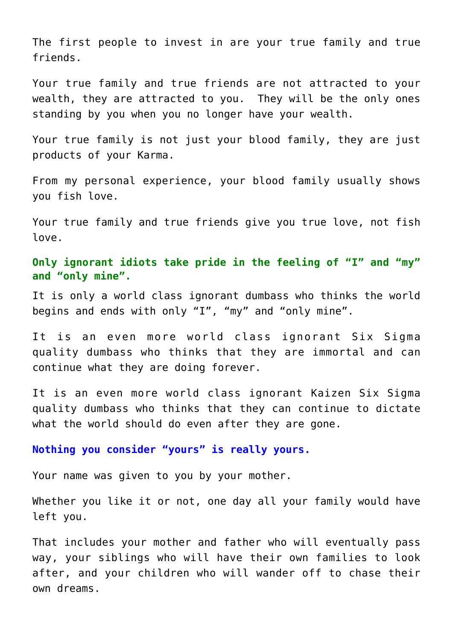The first people to invest in are your [true family](https://aryadharma.world/articles/what-is-true-family/) and true friends.

Your [true family](https://aryadharma.world/articles/what-is-true-family/) and true friends are not attracted to your wealth, they are attracted to you. They will be the only ones standing by you when you no longer have your wealth.

Your [true family](https://aryadharma.world/articles/what-is-true-family/) is not just your blood family, they are just products of your [Karma](https://aryadharma.world/vedasandupanishads/karma-or-destiny/).

From my personal experience, your blood family usually shows you fish love.

Your [true family](https://aryadharma.world/articles/what-is-true-family/) and true friends give you [true love](https://artofrealwealth.wordpress.com/articles/true-love-and-real-wealth/), not fish love.

**Only ignorant idiots take pride in the feeling of "I" and "my" and "only mine".**

It is only a world class ignorant dumbass who thinks the world begins and ends with only "I", "my" and "only mine".

It is an even more world class ignorant [Six Sigma](https://en.wikipedia.org/wiki/Six_Sigma) [quality](https://en.wikipedia.org/wiki/Six_Sigma) dumbass who thinks that they are immortal and can continue what they are doing forever.

It is an even more world class ignorant [Kaizen](https://en.wikipedia.org/wiki/Kaizen) [Six Sigma](https://en.wikipedia.org/wiki/Six_Sigma) [quality](https://en.wikipedia.org/wiki/Six_Sigma) dumbass who thinks that they can continue to dictate what the world should do even after they are gone.

**Nothing you consider "yours" is really yours.**

Your name was given to you by your mother.

Whether you like it or not, one day all your family would have left you.

That includes your mother and father who will eventually pass way, your siblings who will have their own families to look after, and your children who will wander off to chase their own dreams.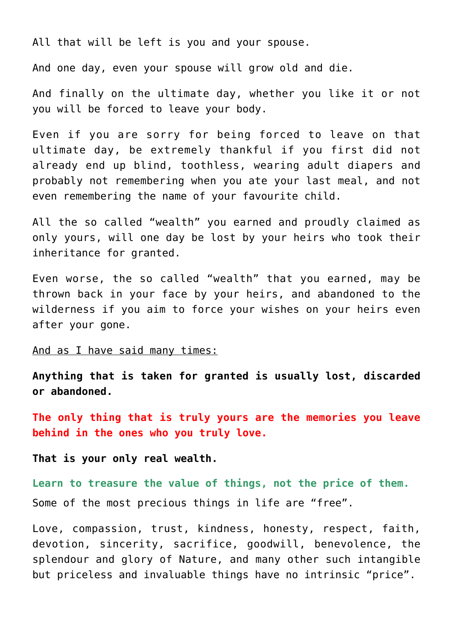All that will be left is you and your spouse.

And one day, even your spouse will grow old and die.

And finally on the ultimate day, whether you like it or not you will be forced to leave your body.

Even if you are sorry for being forced to leave on that ultimate day, be extremely thankful if you first did not already end up blind, toothless, wearing [adult diapers](https://en.wikipedia.org/wiki/Adult_diaper) and probably [not remembering](https://en.wikipedia.org/wiki/Alzheimer%27s_disease) when you ate your last meal, and [not](https://en.wikipedia.org/wiki/Alzheimer%27s_disease) [even remembering](https://en.wikipedia.org/wiki/Alzheimer%27s_disease) the name of your favourite child.

All the so called "wealth" you earned and proudly claimed as only yours, will one day be lost by your heirs who took their inheritance for granted.

Even worse, the so called "wealth" that you earned, may be thrown back in your face by your heirs, and abandoned to the wilderness if you aim to force your wishes on your heirs even after your gone.

## And as I have said many times:

**Anything that is taken for granted is usually lost, discarded or abandoned.**

**The only thing that is truly yours are the memories you leave behind in the ones who you truly love.**

# **[That is your only real wealth.](https://aryadharma.world/articles/real-wealth/)**

**Learn to treasure the value of things, not the price of them.** Some of the most precious things in life are "free".

Love, compassion, trust, kindness, honesty, respect, faith, devotion, sincerity, sacrifice, goodwill, benevolence, the splendour and glory of [Nature,](https://aryadharma.world/articles/nature/) and many other such intangible but priceless and invaluable things have no intrinsic "price".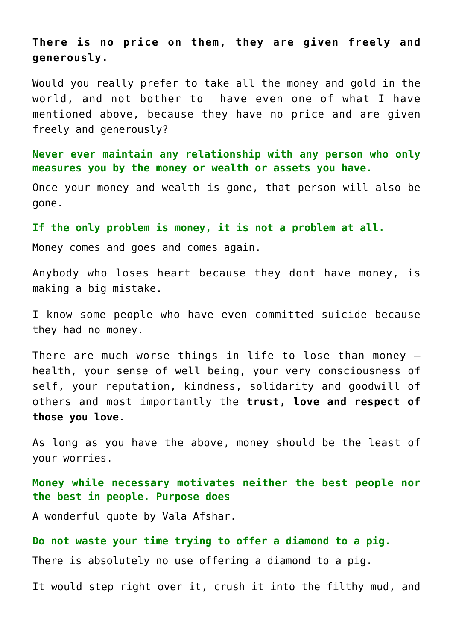# **There is no price on them, they are given freely and generously.**

Would you really prefer to take all the money and gold in the world, and not bother to have even one of what I have mentioned above, because they have no price and are given freely and generously?

**Never ever maintain any relationship with any person who only measures you by the money or wealth or assets you have.**

Once your money and wealth is gone, that person will also be gone.

**If the only problem is money, it is not a problem at all.**

Money comes and goes and comes again.

Anybody who loses heart because they dont have money, is making a big mistake.

I know some people who have even committed suicide because they had no money.

There are much worse things in life to lose than money – health, your sense of well being, your very consciousness of self, your reputation, kindness, solidarity and goodwill of others and most importantly the **trust, love and respect of those you love**.

As long as you have the above, money should be the least of your worries.

**Money while necessary motivates neither the best people nor the best in people. Purpose does**

A wonderful quote by Vala Afshar.

**Do not waste your time trying to offer a diamond to a pig.** There is absolutely no use offering a diamond to a pig.

It would step right over it, crush it into the filthy mud, and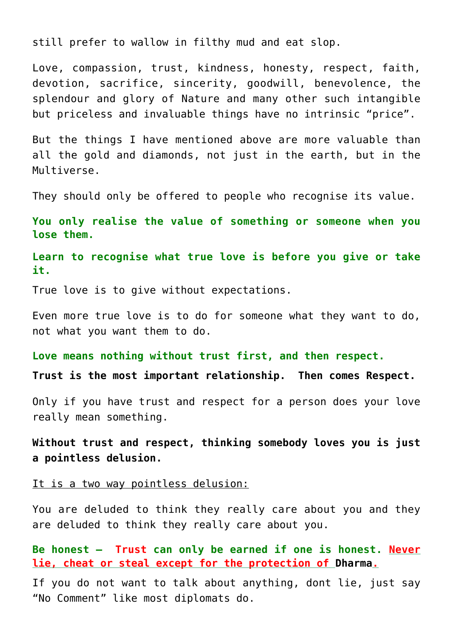still prefer to wallow in filthy mud and eat [slop.](https://en.wikipedia.org/wiki/Food_waste#Animal_feed)

Love, compassion, trust, kindness, honesty, respect, faith, devotion, sacrifice, sincerity, goodwill, benevolence, the splendour and glory of [Nature](https://aryadharma.world/articles/nature/) and many other such intangible but priceless and invaluable things have no intrinsic "price".

But the things I have mentioned above are more valuable than all the gold and diamonds, not just in the earth, but in the [Multiverse.](https://en.wikipedia.org/wiki/Multiverse)

They should only be offered to people who recognise its value.

**You only realise the value of something or someone when you lose them.**

**Learn to recognise what true love is before you give or take it.**

True love is to give without expectations.

Even more true love is to do for someone what they want to do, not what you want them to do.

**Love means nothing without trust first, and then respect.**

**Trust is the most important relationship. Then comes Respect.**

Only if you have trust and respect for a person does your love really mean something.

**Without trust and respect, thinking somebody loves you is just a pointless delusion.**

It is a two way pointless delusion:

You are deluded to think they really care about you and they are deluded to think they really care about you.

**Be honest – Trust can only be earned if one is honest. Never lie, cheat or steal except for the protection of [Dharma.](https://aryadharma.world/vedasandupanishads/dharma/)**

If you do not want to talk about anything, dont lie, just say "No Comment" like most diplomats do.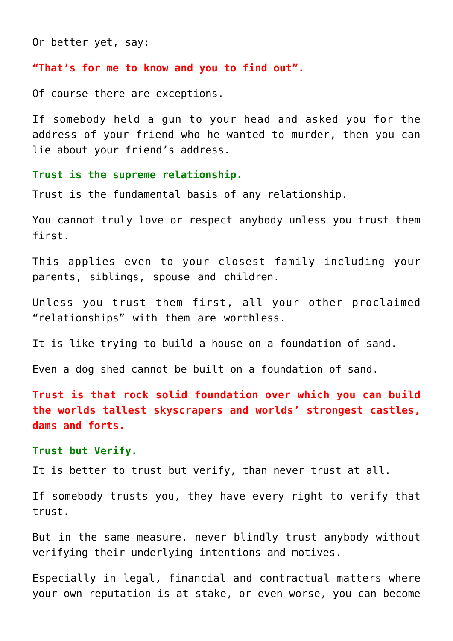## Or better yet, say:

**"That's for me to know and you to find out".**

Of course there are exceptions.

If somebody held a gun to your head and asked you for the address of your friend who he wanted to murder, then you can lie about your friend's address.

**Trust is the supreme relationship.** 

Trust is the fundamental basis of any relationship.

You cannot truly love or respect anybody unless you trust them first.

This applies even to your closest family including your parents, siblings, spouse and children.

Unless you trust them first, all your other proclaimed "relationships" with them are worthless.

It is like trying to build a house on a foundation of sand.

Even a dog shed cannot be built on a foundation of sand.

**Trust is that rock solid foundation over which you can build the worlds tallest skyscrapers and worlds' strongest castles, dams and forts.**

## **Trust but Verify.**

It is better to trust but verify, than never trust at all.

If somebody trusts you, they have every right to verify that trust.

But in the same measure, never blindly trust anybody without verifying their underlying intentions and motives.

Especially in legal, financial and contractual matters where your own reputation is at stake, or even worse, you can become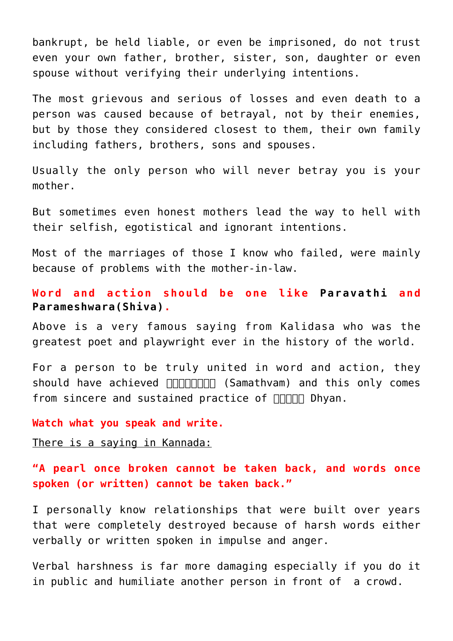bankrupt, be held liable, or even be imprisoned, do not trust even your own father, brother, sister, son, daughter or even spouse without verifying their underlying intentions.

The most grievous and serious of losses and even death to a person was caused because of betrayal, not by their enemies, but by those they considered closest to them, their own family including fathers, brothers, sons and spouses.

Usually the only person who will never betray you is your mother.

But sometimes even honest mothers lead the way to hell with their selfish, egotistical and ignorant intentions.

Most of the marriages of those I know who failed, were mainly because of problems with the mother-in-law.

**Word and action should be one like [Paravathi](https://en.wikipedia.org/wiki/Parvati) and [Parameshwara\(Shiva\).](https://en.wikipedia.org/wiki/Shiva)**

Above is a very famous saying from [Kalidasa](https://en.wikipedia.org/wiki/K%C4%81lid%C4%81sa) who was the greatest poet and playwright ever in the history of the world.

For a person to be truly united in word and action, they should have achieved **HARLARY (Samathvam)** and this only comes from sincere and sustained practice of  $\Box\Box\Box\Box$  Dhyan.

**Watch what you speak and write.**

There is a saying in Kannada:

**"A pearl once broken cannot be taken back, and words once spoken (or written) cannot be taken back."**

I personally know relationships that were built over years that were completely destroyed because of harsh words either verbally or written spoken in impulse and anger.

Verbal harshness is far more damaging especially if you do it in public and humiliate another person in front of a crowd.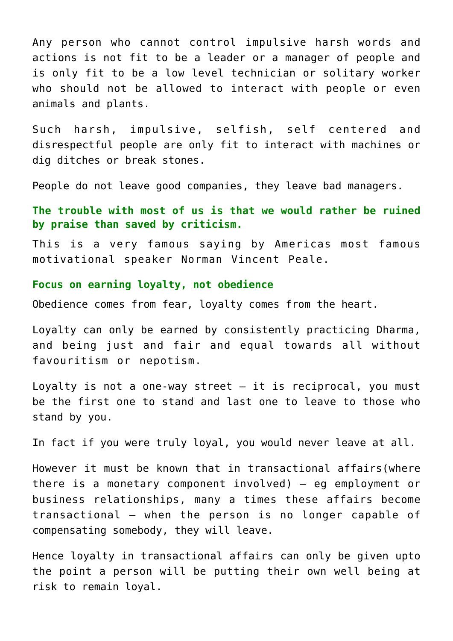Any person who cannot control impulsive harsh words and actions is not fit to be a leader or a manager of people and is only fit to be a low level technician or solitary worker who should not be allowed to interact with people or even animals and plants.

Such harsh, impulsive, selfish, self centered and disrespectful people are only fit to interact with machines or dig ditches or break stones.

People do not leave good companies, they leave bad managers.

# **The trouble with most of us is that we would rather be ruined by praise than saved by criticism.**

This is a very famous saying by Americas most famous motivational speaker [Norman Vincent Peale.](https://en.wikipedia.org/wiki/Norman_Vincent_Peale)

## **Focus on earning loyalty, not obedience**

Obedience comes from fear, loyalty comes from the heart.

Loyalty can only be earned by consistently practicing [Dharma,](https://aryadharma.world/vedasandupanishads/dharma/) and being just and fair and equal towards all without favouritism or nepotism.

Loyalty is not a one-way street  $-$  it is reciprocal, you must be the first one to stand and last one to leave to those who stand by you.

In fact if you were truly loyal, you would never leave at all.

However it must be known that in transactional affairs(where there is a monetary component involved) – eg employment or business relationships, many a times these affairs become transactional — when the person is no longer capable of compensating somebody, they will leave.

Hence loyalty in transactional affairs can only be given upto the point a person will be putting their own well being at risk to remain loyal.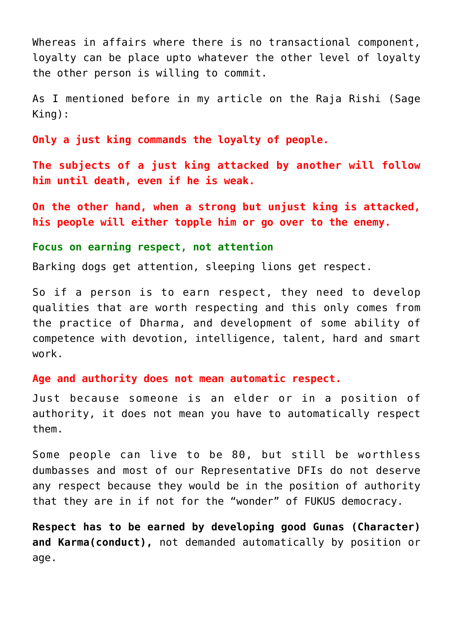Whereas in affairs where there is no transactional component, loyalty can be place upto whatever the other level of loyalty the other person is willing to commit.

As I mentioned before in my article on the [Raja Rishi \(Sage](https://aryadharma.world/concepts/thestate/administrators/raja-rishi-sage-king/) [King\)](https://aryadharma.world/concepts/thestate/administrators/raja-rishi-sage-king/):

**Only a just king commands the loyalty of people.**

**The subjects of a just king attacked by another will follow him until death, even if he is weak.**

**On the other hand, when a strong but unjust king is attacked, his people will either topple him or go over to the enemy.**

# **Focus on earning respect, not attention**

Barking dogs get attention, sleeping lions get respect.

So if a person is to earn respect, they need to develop qualities that are worth respecting and this only comes from the practice of [Dharma,](https://aryadharma.world/vedasandupanishads/dharma/) and development of some ability of competence with devotion, intelligence, talent, hard and smart work.

## **Age and authority does not mean automatic respect.**

Just because someone is an elder or in a position of authority, it does not mean you have to automatically respect them.

Some people can live to be 80, but still be worthless dumbasses and most of our Representative DFIs do not deserve any respect because they would be in the position of authority that they are in if not for the "wonder" of FUKUS democracy.

**Respect has to be earned by developing good Gunas (Character) and Karma(conduct),** not demanded automatically by position or age.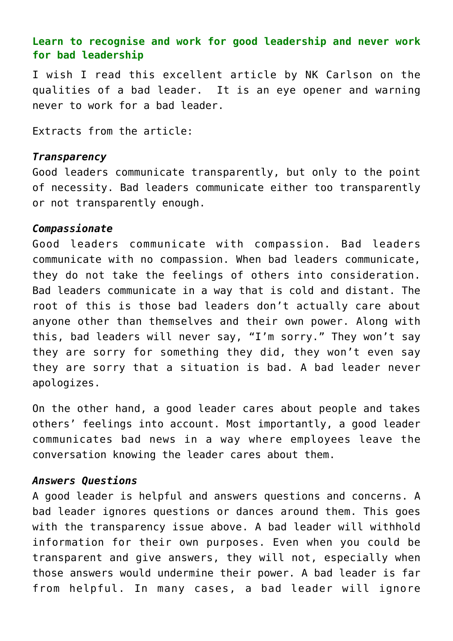# **Learn to recognise and work for good leadership and never work for bad leadership**

I wish I [read this excellent article](https://medium.com/swlh/4-traits-of-good-communication-often-ignored-by-bad-leaders-d0711978edea) by NK Carlson on the qualities of a bad leader. It is an eye opener and warning never to work for a bad leader.

[Extracts from the article:](https://medium.com/swlh/4-traits-of-good-communication-often-ignored-by-bad-leaders-d0711978edea)

# *Transparency*

Good leaders communicate transparently, but only to the point of necessity. Bad leaders communicate either too transparently or not transparently enough.

# *Compassionate*

Good leaders communicate with compassion. Bad leaders communicate with no compassion. When bad leaders communicate, they do not take the feelings of others into consideration. Bad leaders communicate in a way that is cold and distant. The root of this is those bad leaders don't actually care about anyone other than themselves and their own power. Along with this, bad leaders will never say, "I'm sorry." They won't say they are sorry for something they did, they won't even say they are sorry that a situation is bad. A bad leader never apologizes.

On the other hand, a good leader cares about people and takes others' feelings into account. Most importantly, a good leader communicates bad news in a way where employees leave the conversation knowing the leader cares about them.

# *Answers Questions*

A good leader is helpful and answers questions and concerns. A bad leader ignores questions or dances around them. This goes with the transparency issue above. A bad leader will withhold information for their own purposes. Even when you could be transparent and give answers, they will not, especially when those answers would undermine their power. A bad leader is far from helpful. In many cases, a bad leader will ignore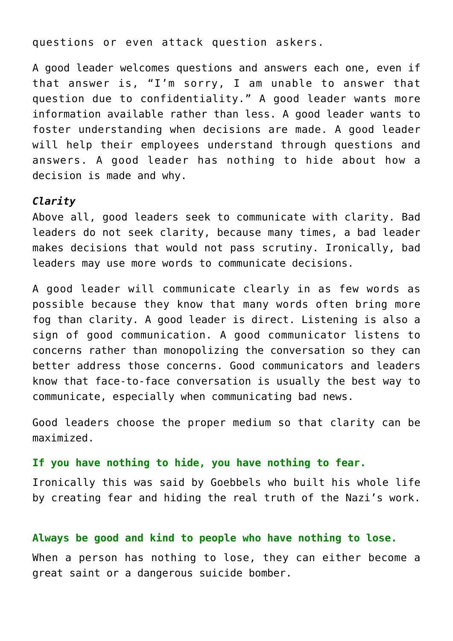questions or even attack question askers.

A good leader welcomes questions and answers each one, even if that answer is, "I'm sorry, I am unable to answer that question due to confidentiality." A good leader wants more information available rather than less. A good leader wants to foster understanding when decisions are made. A good leader will help their employees understand through questions and answers. A good leader has nothing to hide about how a decision is made and why.

# *Clarity*

Above all, good leaders seek to communicate with clarity. Bad leaders do not seek clarity, because many times, a bad leader makes decisions that would not pass scrutiny. Ironically, bad leaders may use more words to communicate decisions.

A good leader will communicate clearly in as few words as possible because they know that many words often bring more fog than clarity. A good leader is direct. Listening is also a sign of good communication. A good communicator listens to concerns rather than monopolizing the conversation so they can better address those concerns. Good communicators and leaders know that face-to-face conversation is usually the best way to communicate, especially when communicating bad news.

Good leaders choose the proper medium so that clarity can be maximized.

# **If you have nothing to hide, you have nothing to fear.**

Ironically this was said by [Goebbels](https://en.wikipedia.org/wiki/Joseph_Goebbels) who built his whole life by creating fear and hiding the real truth of the [Nazi's](https://en.wikipedia.org/wiki/Nazi_Party) work.

# **Always be good and kind to people who have nothing to lose.**

When a person has nothing to lose, they can either become a great saint or a dangerous suicide bomber.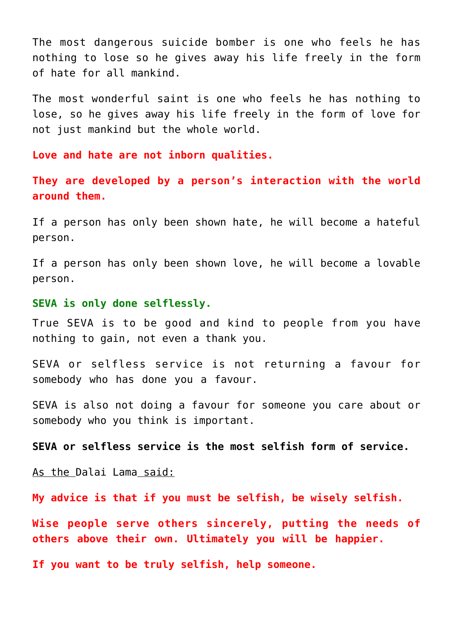The most dangerous suicide bomber is one who feels he has nothing to lose so he gives away his life freely in the form of hate for all mankind.

The most wonderful saint is one who feels he has nothing to lose, so he gives away his life freely in the form of love for not just mankind but the whole world.

**Love and hate are not inborn qualities.**

**They are developed by a person's interaction with the world around them.**

If a person has only been shown hate, he will become a hateful person.

If a person has only been shown love, he will become a lovable person.

#### **SEVA is only done selflessly.**

True SEVA is to be good and kind to people from you have nothing to gain, not even a thank you.

SEVA or selfless service is not returning a favour for somebody who has done you a favour.

SEVA is also not doing a favour for someone you care about or somebody who you think is important.

**SEVA or selfless service is the most selfish form of service.**

As the [Dalai Lama](https://en.wikipedia.org/wiki/Dalai_Lama) said:

**My advice is that if you must be selfish, be wisely selfish.**

**Wise people serve others sincerely, putting the needs of others above their own. Ultimately you will be happier.**

**If you want to be truly selfish, help someone.**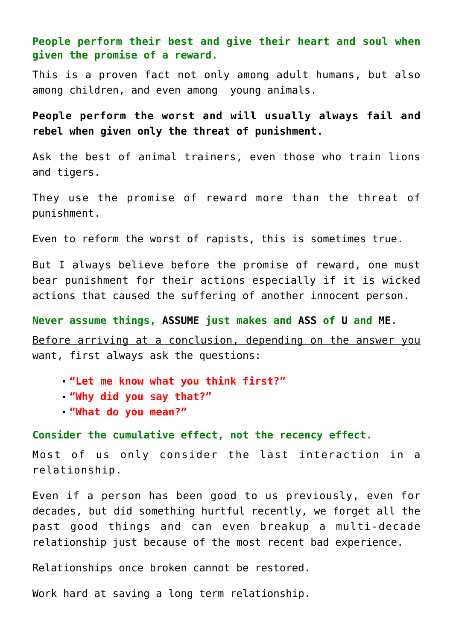**People perform their best and give their heart and soul when given the promise of a reward.**

This is a proven fact not only among adult humans, but also among children, and even among young animals.

**People perform the worst and will usually always fail and rebel when given only the threat of punishment.**

Ask the best of animal trainers, even those who train lions and tigers.

They use the promise of reward more than the threat of punishment.

Even to reform the worst of rapists, this is sometimes true.

But I always believe before the promise of reward, one must bear punishment for their actions especially if it is wicked actions that caused the suffering of another innocent person.

**Never assume things, ASSUME just makes and ASS of U and ME.**

Before arriving at a conclusion, depending on the answer you want, first always ask the questions:

- **"Let me know what you think first?"**
- **"Why did you say that?"**
- **"What do you mean?"**

**Consider the cumulative effect, not the recency effect.**

Most of us only consider the last interaction in a relationship.

Even if a person has been good to us previously, even for decades, but did something hurtful recently, we forget all the past good things and can even breakup a multi-decade relationship just because of the most recent bad experience.

Relationships once broken cannot be restored.

Work hard at saving a long term relationship.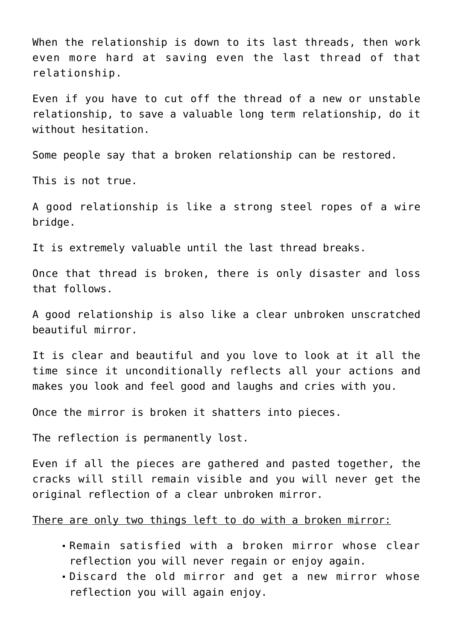When the relationship is down to its last threads, then work even more hard at saving even the last thread of that relationship.

Even if you have to cut off the thread of a new or unstable relationship, to save a valuable long term relationship, do it without hesitation.

Some people say that a broken relationship can be restored.

This is not true.

A good relationship is like a strong [steel ropes](https://en.wikipedia.org/wiki/Wire_rope) of a wire bridge.

It is extremely valuable until the last thread breaks.

Once that thread is broken, there is only disaster and loss that follows.

A good relationship is also like a clear unbroken unscratched beautiful mirror.

It is clear and beautiful and you love to look at it all the time since it unconditionally reflects all your actions and makes you look and feel good and laughs and cries with you.

Once the mirror is broken it shatters into pieces.

The reflection is permanently lost.

Even if all the pieces are gathered and pasted together, the cracks will still remain visible and you will never get the original reflection of a clear unbroken mirror.

There are only two things left to do with a broken mirror:

- Remain satisfied with a broken mirror whose clear reflection you will never regain or enjoy again.
- Discard the old mirror and get a new mirror whose reflection you will again enjoy.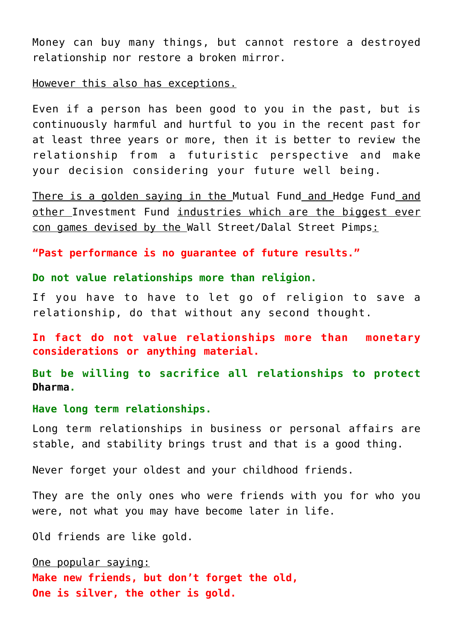Money can buy many things, but cannot restore a destroyed relationship nor restore a broken mirror.

However this also has exceptions.

Even if a person has been good to you in the past, but is continuously harmful and hurtful to you in the recent past for at least three years or more, then it is better to review the relationship from a futuristic perspective and make your decision considering your future well being.

There is a golden saying in the [Mutual Fund](https://en.wikipedia.org/wiki/Mutual_fund) and [Hedge Fund](https://en.wikipedia.org/wiki/Hedge_fund) and other [Investment Fund i](https://en.wikipedia.org/wiki/Investment_fund)ndustries which are the biggest ever con games devised by the [Wall Street/Dalal Street Pimps:](http://aryadharma.world/wallstreetpimps/)

**"Past performance is no guarantee of future results."**

**Do not value relationships more than religion.**

If you have to have to let go of religion to save a relationship, do that without any second thought.

**In fact do not value relationships more than monetary considerations or anything material.** 

**But be willing to sacrifice all relationships to protect [Dharma](http://aryadharma.world/dharma/).**

**Have long term relationships.**

Long term relationships in business or personal affairs are stable, and stability brings trust and that is a good thing.

Never forget your oldest and your childhood friends.

They are the only ones who were friends with you for who you were, not what you may have become later in life.

Old friends are like gold.

One popular saying: **Make new friends, but don't forget the old, One is silver, the other is gold.**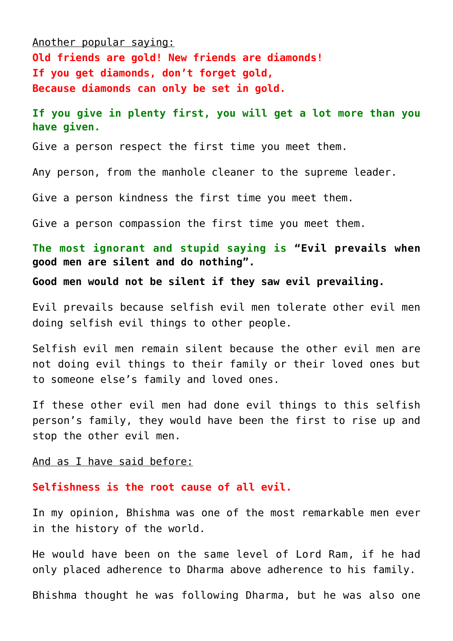Another popular saying: **Old friends are gold! New friends are diamonds! If you get diamonds, don't forget gold, Because diamonds can only be set in gold.**

**If you give in plenty first, you will get a lot more than you have given.**

Give a person respect the first time you meet them.

Any person, from the manhole cleaner to the supreme leader.

Give a person kindness the first time you meet them.

Give a person compassion the first time you meet them.

**The most ignorant and stupid saying is "Evil prevails when good men are silent and do nothing".**

**Good men would not be silent if they saw evil prevailing.**

Evil prevails because selfish evil men tolerate other evil men doing selfish evil things to other people.

Selfish evil men remain silent because the other evil men are not doing evil things to their family or their loved ones but to someone else's family and loved ones.

If these other evil men had done evil things to this selfish person's family, they would have been the first to rise up and stop the other evil men.

## And as I have said before:

# **Selfishness is the root cause of all evil.**

In my opinion, [Bhishma](https://en.wikipedia.org/wiki/Bhishma) was one of the most remarkable men ever in the history of the world.

He would have been on the same level of [Lord Ram,](https://en.wikipedia.org/wiki/Rama) if he had only placed adherence to [Dharma](https://aryadharma.world/concepts/brahman/dharma/) above adherence to his family.

[Bhishma](https://en.wikipedia.org/wiki/Bhishma) thought he was following [Dharma](https://aryadharma.world/concepts/brahman/dharma/), but he was also one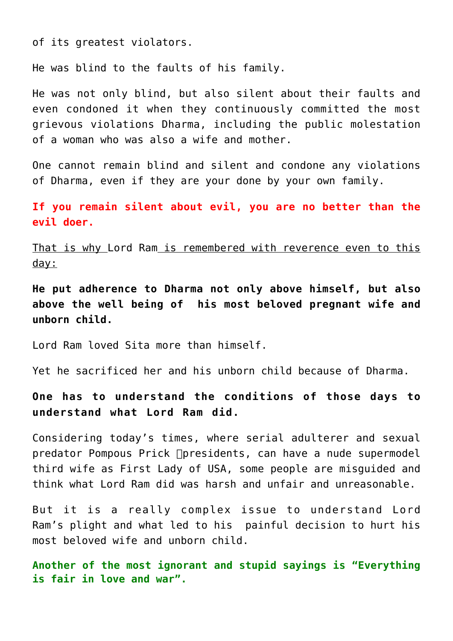of its greatest violators.

He was blind to the faults of his family.

He was not only blind, but also silent about their faults and even condoned it when they continuously committed the most grievous violations [Dharma,](https://aryadharma.world/concepts/brahman/dharma/) including the [public molestation](https://en.wikipedia.org/wiki/Draupadi#Duryodhana.27s_insult) of a woman who was also a wife and mother.

One cannot remain blind and silent and condone any violations of [Dharma,](https://aryadharma.world/concepts/brahman/dharma/) even if they are your done by your own family.

**If you remain silent about evil, you are no better than the evil doer.**

That is why [Lord Ram](http://en.wikipedia.org/wiki/Rama) is remembered with reverence even to this day:

**He put adherence to [Dharma](https://aryadharma.world/concepts/brahman/dharma/) not only above himself, but also [above the well being of](https://en.wikipedia.org/wiki/Ramayana#Uttara_Kanda) his most beloved pregnant wife and unborn child.**

[Lord Ram](http://en.wikipedia.org/wiki/Rama) loved [Sita](https://en.wikipedia.org/wiki/Sita) more than himself.

Yet he [sacrificed her and his unborn child](https://en.wikipedia.org/wiki/Ramayana#Uttara_Kanda) because of [Dharma](https://aryadharma.world/concepts/brahman/dharma/).

**One has to understand the conditions of those days to understand [what Lord Ram did.](https://en.wikipedia.org/wiki/Ramayana#Uttara_Kanda)**

Considering today's times, where [serial adulterer and sexual](https://en.wikipedia.org/wiki/Donald_Trump#Sexual_misconduct_allegations)  $predator$  [Pompous Prick](https://aryadharma.world/fukus/the-pompous-prick/)  $\Box$ presidents, can have a [nude](https://www.google.co.in/search?q=melania+trump+nude) supermodel third [wife](https://en.wikipedia.org/wiki/Melania_Trump) as [First Lady of USA,](https://en.wikipedia.org/wiki/First_Lady_of_the_United_States) some people are misguided and think [what Lord Ram did](https://en.wikipedia.org/wiki/Ramayana#Uttara_Kanda) was harsh and unfair and unreasonable.

But it is a really complex issue to understand [Lord](http://en.wikipedia.org/wiki/Rama) [Ram's](http://en.wikipedia.org/wiki/Rama) plight and what led to his painful decision to hurt his most beloved wife and unborn child.

**Another of the most ignorant and stupid sayings is "Everything is fair in love and war".**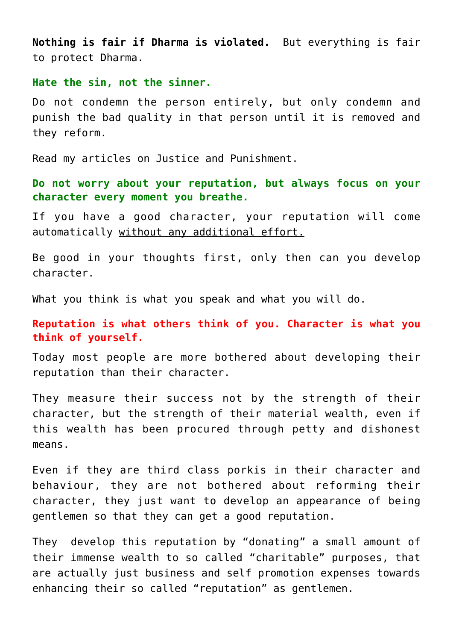**Nothing is fair if [Dharma](https://aryadharma.world/concepts/brahman/dharma/) is violated.** But everything is fair to protect [Dharma.](https://aryadharma.world/concepts/brahman/dharma/)

## **Hate the sin, not the sinner.**

Do not condemn the person entirely, but only condemn and [punish](http://aryadharma.world/laws/punishment/) the bad quality in that person until it is removed and they reform.

Read my articles on [Justice](http://aryadharma.world/laws/justice/) and [Punishment.](http://aryadharma.world/laws/punishment/)

**Do not worry about your reputation, but always focus on your character every moment you breathe.** 

If you have a good character, your reputation will come automatically without any additional effort.

Be good in your thoughts first, only then can you develop character.

What you think is what you speak and what you will do.

**Reputation is what others think of you. Character is what you think of yourself.**

Today most people are more bothered about developing their reputation than their character.

They measure their success not by the strength of their character, but the strength of their material wealth, even if this wealth has been procured through petty and dishonest means.

Even if they are third class porkis in their character and behaviour, they are not bothered about reforming their character, they just want to develop an appearance of being gentlemen so that they can get a good reputation.

They develop this reputation by "donating" a small amount of their immense wealth to so called "charitable" purposes, that are actually just business and self promotion expenses towards enhancing their so called "reputation" as gentlemen.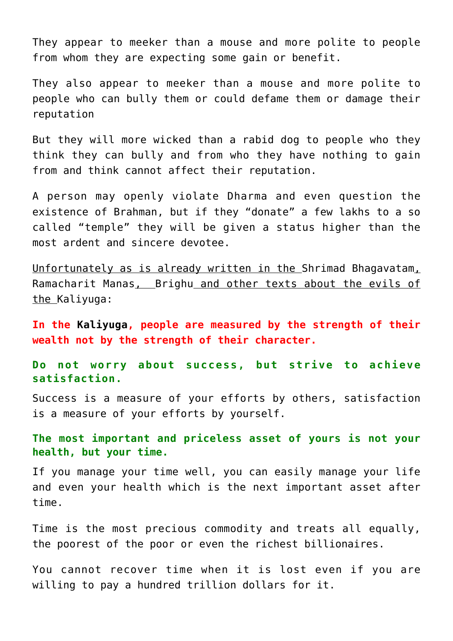They appear to meeker than a mouse and more polite to people from whom they are expecting some gain or benefit.

They also appear to meeker than a mouse and more polite to people who can bully them or could defame them or damage their reputation

But they will more wicked than a rabid dog to people who they think they can bully and from who they have nothing to gain from and think cannot affect their reputation.

A person may openly violate [Dharma](http://aryadharma.world/concepts/brahman/dharma/) and even question the existence of [Brahman,](http://aryadharma.world/concepts/brahman/) but if they "donate" a few lakhs to a so called "temple" they will be given a status higher than the most ardent and sincere devotee.

Unfortunately as is already written in the [Shrimad Bhagavatam,](https://en.wikipedia.org/wiki/Bhagavata_Purana) [Ramacharit Manas,](https://en.wikipedia.org/wiki/Ramcharitmanas) [Brighu](https://en.wikipedia.org/wiki/Bhrigu) and other texts about the evils of the [Kaliyuga:](https://en.wikipedia.org/wiki/Kali_Yuga)

**In the [Kaliyuga,](https://en.wikipedia.org/wiki/Kali_Yuga) people are measured by the strength of their wealth not by the strength of their character.**

**Do not worry about success, but strive to achieve satisfaction.** 

Success is a measure of your efforts by others, satisfaction is a measure of your efforts by yourself.

**The most important and priceless asset of yours is not your health, but your time.**

If you manage your time well, you can easily manage your life and even your health which is the next important asset after time.

Time is the most precious commodity and treats all equally, the poorest of the poor or even the richest billionaires.

You cannot recover time when it is lost even if you are willing to pay a hundred [trillion](https://en.wikipedia.org/wiki/Trillion) dollars for it.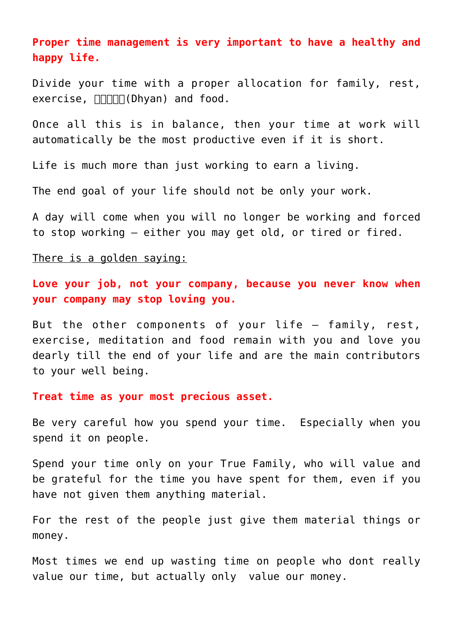**Proper time management is very important to have a healthy and happy life.**

Divide your time with a proper allocation for family, rest, exercise,  $\Pi\Pi\Pi\Pi$ (Dhyan) and food.

Once all this is in balance, then your time at work will automatically be the most productive even if it is short.

Life is much more than just working to earn a living.

The end goal of your life should not be only your work.

A day will come when you will no longer be working and forced to stop working – either you may get old, or tired or fired.

#### There is a golden saying:

**Love your job, not your company, because you never know when your company may stop loving you.**

But the other components of your life  $-$  family, rest, exercise, meditation and food remain with you and love you dearly till the end of your life and are the main contributors to your well being.

**Treat time as your most precious asset.** 

Be very careful how you spend your time. Especially when you spend it on people.

Spend your time only on your [True Family,](https://aryadharma.world/articles/what-is-true-family/) who will value and be grateful for the time you have spent for them, even if you have not given them anything material.

For the rest of the people just give them material things or money.

Most times we end up wasting time on people who dont really value our time, but actually only value our money.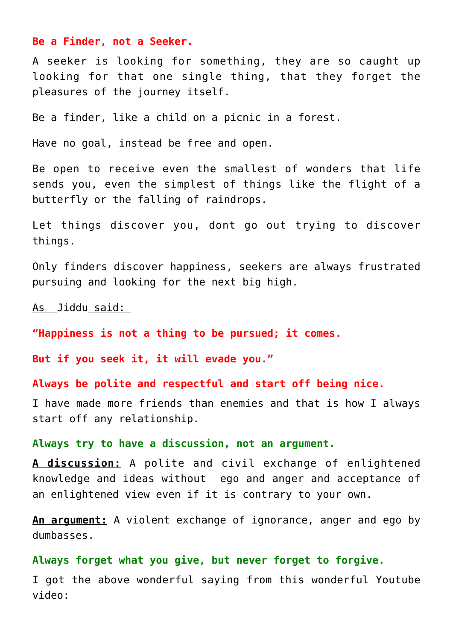#### **Be a Finder, not a Seeker.**

A seeker is looking for something, they are so caught up looking for that one single thing, that they forget the pleasures of the journey itself.

Be a finder, like a child on a picnic in a forest.

Have no goal, instead be free and open.

Be open to receive even the smallest of wonders that life sends you, even the simplest of things like the flight of a butterfly or the falling of raindrops.

Let things discover you, dont go out trying to discover things.

Only finders discover happiness, seekers are always frustrated pursuing and looking for the next big high.

As [Jiddu](http://en.wikipedia.org/wiki/Jiddu_Krishnamurti) said:

**"Happiness is not a thing to be pursued; it comes.**

**But if you seek it, it will evade you."**

**Always be polite and respectful and start off being nice.**

I have made more friends than enemies and that is how I always start off any relationship.

**Always try to have a discussion, not an argument.**

**A discussion:** A polite and civil exchange of enlightened knowledge and ideas without ego and anger and acceptance of an enlightened view even if it is contrary to your own.

**An argument:** A violent exchange of ignorance, anger and ego by dumbasses.

# **Always forget what you give, but never forget to forgive.**

I got the above wonderful saying from this wonderful Youtube video: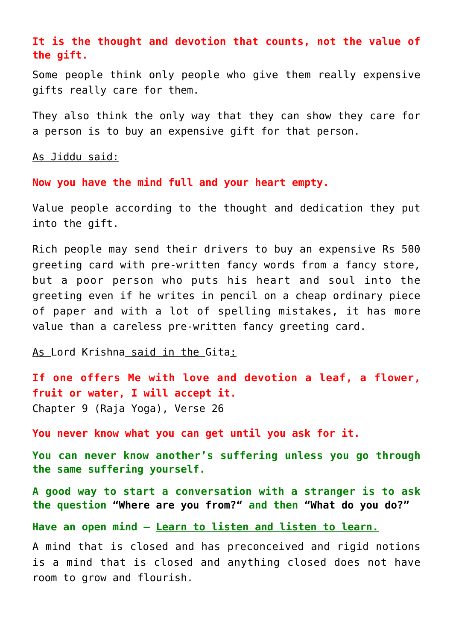# **It is the thought and devotion that counts, not the value of the gift.**

Some people think only people who give them really expensive gifts really care for them.

They also think the only way that they can show they care for a person is to buy an expensive gift for that person.

As Jiddu said:

**Now you have the mind full and your heart empty.**

Value people according to the thought and dedication they put into the gift.

Rich people may send their drivers to buy an expensive Rs 500 greeting card with pre-written fancy words from a fancy store, but a poor person who puts his heart and soul into the greeting even if he writes in pencil on a cheap ordinary piece of paper and with a lot of spelling mistakes, it has more value than a careless pre-written fancy greeting card.

As [Lord Krishna](https://en.wikipedia.org/wiki/Krishna) said in the [Gita:](https://en.wikipedia.org/wiki/Bhagavad_Gita)

**If one offers Me with love and devotion a leaf, a flower, fruit or water, I will accept it.** [Chapter 9 \(Raja Yoga\), Verse 26](http://www.bhagavad-gita.us/bhagavad-gita-9-26/)

**You never know what you can get until you ask for it.**

**You can never know another's suffering unless you go through the same suffering yourself.**

**A good way to start a conversation with a stranger is to ask the question "Where are you from?" and then "What do you do?"**

# **Have an open mind – Learn to listen and listen to learn.**

A mind that is closed and has preconceived and rigid notions is a mind that is closed and anything closed does not have room to grow and flourish.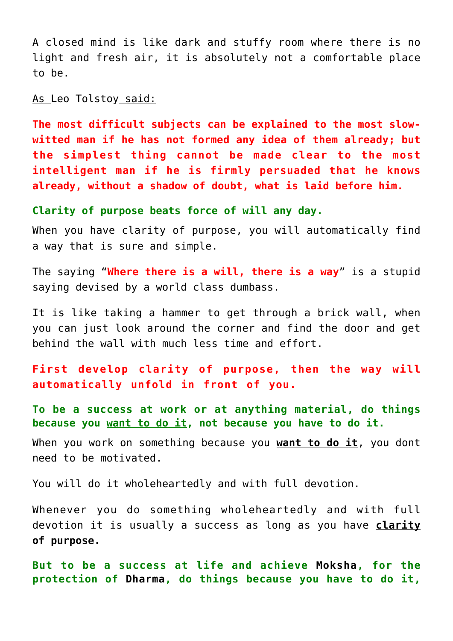A closed mind is like dark and stuffy room where there is no light and fresh air, it is absolutely not a comfortable place to be.

As [Leo Tolstoy](http://en.wikipedia.org/wiki/Leo_Tolstoy) said:

**The most difficult subjects can be explained to the most slowwitted man if he has not formed any idea of them already; but the simplest thing cannot be made clear to the most intelligent man if he is firmly persuaded that he knows already, without a shadow of doubt, what is laid before him.**

**Clarity of purpose beats force of will any day.** 

When you have clarity of purpose, you will automatically find a way that is sure and simple.

The saying "**Where there is a will, there is a way**" is a stupid saying devised by a world class dumbass.

It is like taking a hammer to get through a brick wall, when you can just look around the corner and find the door and get behind the wall with much less time and effort.

**First develop clarity of purpose, then the way will automatically unfold in front of you.**

**To be a success at work or at anything material, do things because you want to do it, not because you have to do it.** 

When you work on something because you **want to do it**, you dont need to be motivated.

You will do it wholeheartedly and with full devotion.

Whenever you do something wholeheartedly and with full devotion it is usually a success as long as you have **clarity of purpose.**

**But to be a success at life and achieve [Moksha,](https://en.wikipedia.org/wiki/Moksha) for the protection of [Dharma](http://aryadharma.world/concepts/brahman/dharma/), do things because you have to do it,**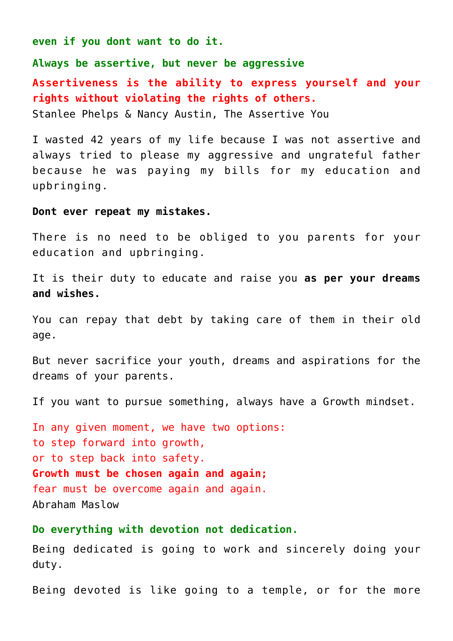**even if you dont want to do it.**

## **Always be assertive, but never be aggressive**

**Assertiveness is the ability to express yourself and your rights without violating the rights of others.** Stanlee Phelps & Nancy Austin, The Assertive You

I wasted 42 years of my life because I was not assertive and always tried to please my aggressive and ungrateful father because he was paying my bills for my education and upbringing.

#### **Dont ever repeat my mistakes.**

There is no need to be obliged to you parents for your education and upbringing.

It is their duty to educate and raise you **as per your dreams and wishes.** 

You can repay that debt by taking care of them in their old age.

But never sacrifice your youth, dreams and aspirations for the dreams of your parents.

If you want to pursue something, always have a Growth mindset.

In any given moment, we have two options: to step forward into growth, or to step back into safety. **Growth must be chosen again and again;** fear must be overcome again and again. Abraham Maslow

# **Do everything with devotion not dedication.**

Being dedicated is going to work and sincerely doing your duty.

Being devoted is like going to a temple, or for the more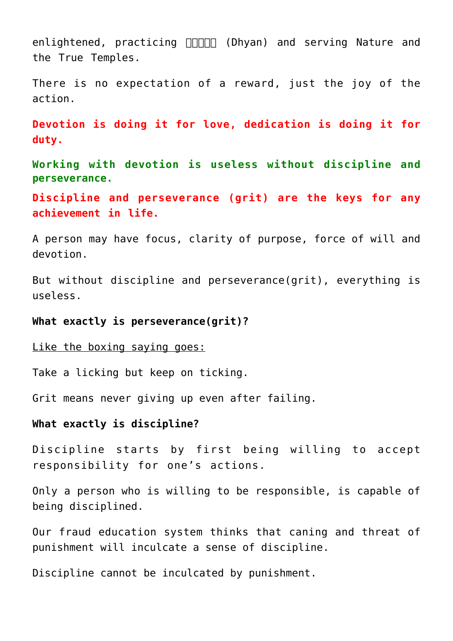enlightened, practicing **FIFILE (Dhyan)** and serving [Nature](http://aryadharma.world/articles/nature/) and the [True Temples.](http://aryadharma.world/concepts/truetemples/)

There is no expectation of a reward, just the joy of the action.

**Devotion is doing it for love, dedication is doing it for duty.**

**Working with devotion is useless without discipline and perseverance.**

**Discipline and perseverance (grit) are the keys for any achievement in life.**

A person may have focus, clarity of purpose, force of will and devotion.

But without discipline and perseverance(grit), everything is useless.

**What exactly is perseverance(grit)?**

Like the boxing saying goes:

[Take a licking but keep on ticking.](https://idioms.thefreedictionary.com/take+a+licking+and+keep+on+ticking) 

Grit means never giving up even after failing.

# **What exactly is discipline?**

Discipline starts by first being willing to accept responsibility for one's actions.

Only a person who is willing to be responsible, is capable of being disciplined.

Our fraud education system thinks that caning and threat of punishment will inculcate a sense of discipline.

Discipline cannot be inculcated by punishment.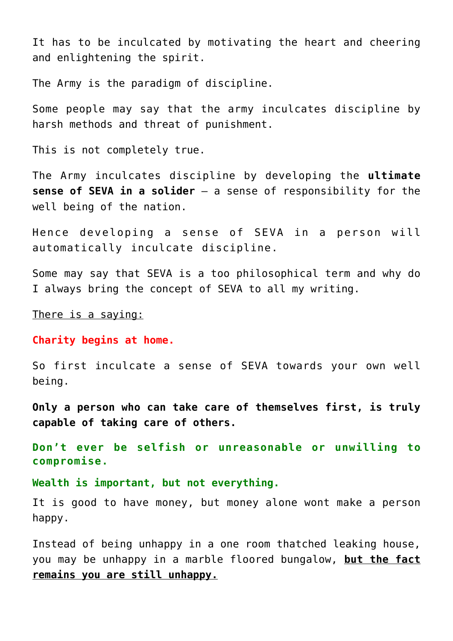It has to be inculcated by motivating the heart and cheering and enlightening the spirit.

The Army is the paradigm of discipline.

Some people may say that the army inculcates discipline by harsh methods and threat of punishment.

This is not completely true.

The Army inculcates discipline by developing the **ultimate sense of [SEVA](https://aryadharma.world/vedasandupanishads/dharma/) in a solider** – a sense of responsibility for the well being of the nation.

Hence developing a sense of [SEVA](https://aryadharma.world/vedasandupanishads/dharma/) in a person will automatically inculcate discipline.

Some may say that [SEVA](https://aryadharma.world/vedasandupanishads/dharma/) is a too philosophical term and why do I always bring the concept of SEVA to all my writing.

There is a saying:

**Charity begins at home.**

So first inculcate a sense of [SEVA](https://aryadharma.world/vedasandupanishads/dharma/) towards your own well being.

**Only a person who can take care of themselves first, is truly capable of taking care of others.**

**Don't ever be selfish or unreasonable or unwilling to compromise.**

**Wealth is important, but not everything.**

It is good to have money, but money alone wont make a person happy.

Instead of being unhappy in a one room thatched leaking house, you may be unhappy in a marble floored bungalow, **but the fact remains you are still unhappy.**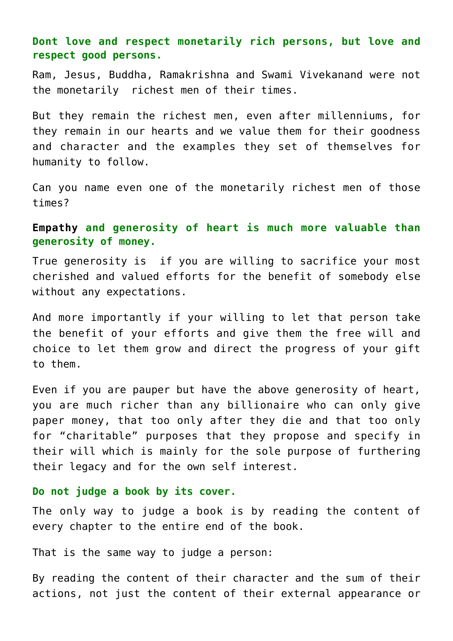**Dont love and respect monetarily rich persons, but love and respect good persons.**

[Ram](http://en.wikipedia.org/wiki/Rama), [Jesus](http://en.wikipedia.org/wiki/Jesus), [Buddha,](http://en.wikipedia.org/wiki/Gautama_Buddha) [Ramakrishna](https://en.wikipedia.org/wiki/Ramakrishna) and [Swami Vivekanand](https://en.wikipedia.org/wiki/Swami_Vivekananda) were not the monetarily richest men of their times.

But they remain the richest men, even after millenniums, for they remain in our hearts and we value them for their goodness and character and the examples they set of themselves for humanity to follow.

Can you name even one of the monetarily richest men of those times?

# **[Empathy](https://en.wikipedia.org/wiki/Empathy) and generosity of heart is much more valuable than generosity of money.**

True generosity is if you are willing to sacrifice your most cherished and valued efforts for the benefit of somebody else without any expectations.

And more importantly if your willing to let that person take the benefit of your efforts and give them the free will and choice to let them grow and direct the progress of your gift to them.

Even if you are pauper but have the above generosity of heart, you are much richer than any billionaire who can only give paper money, that too only after they die and that too only for "charitable" purposes that they propose and specify in their will which is mainly for the sole purpose of furthering their legacy and for the own self interest.

## **Do not judge a book by its cover.**

The only way to judge a book is by reading the content of every chapter to the entire end of the book.

That is the same way to judge a person:

By reading the content of their character and the sum of their actions, not just the content of their external appearance or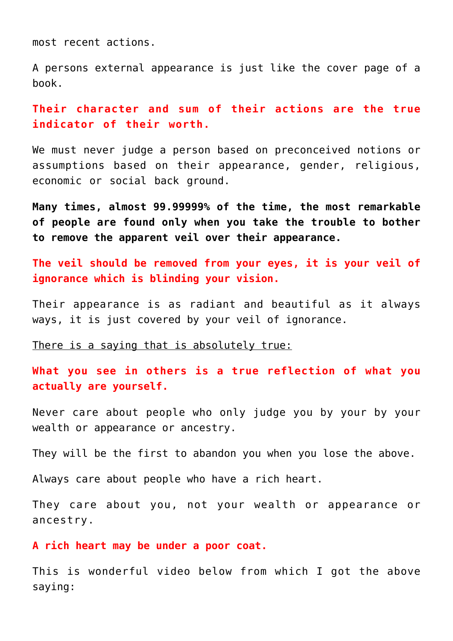most recent actions.

A persons external appearance is just like the cover page of a book.

**Their character and sum of their actions are the true indicator of their worth.**

We must never judge a person based on preconceived notions or assumptions based on their appearance, gender, religious, economic or social back ground.

**Many times, almost 99.99999% of the time, the most remarkable of people are found only when you take the trouble to bother to remove the apparent veil over their appearance.**

**The veil should be removed from your eyes, it is your veil of ignorance which is blinding your vision.**

Their appearance is as radiant and beautiful as it always ways, it is just covered by your veil of ignorance.

There is a saying that is absolutely true:

**What you see in others is a true reflection of what you actually are yourself.**

Never care about people who only judge you by your by your wealth or appearance or ancestry.

They will be the first to abandon you when you lose the above.

Always care about people who have a rich heart.

They care about you, not your wealth or appearance or ancestry.

**A rich heart may be under a poor coat.**

This is wonderful video below from which I got the above saying: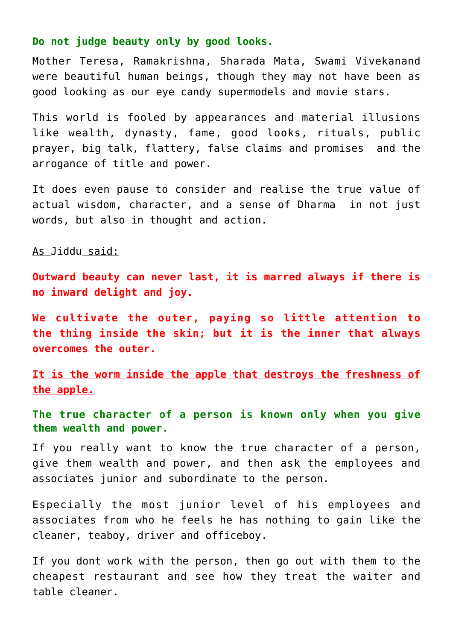#### **Do not judge beauty only by good looks.**

[Mother Teresa](https://en.wikipedia.org/wiki/Mother_Teresa), [Ramakrishna,](https://en.wikipedia.org/wiki/Ramakrishna) [Sharada Mata](https://en.wikipedia.org/wiki/Sarada_Devi), [Swami Vivekanand](https://en.wikipedia.org/wiki/Swami_Vivekananda) were beautiful human beings, though they may not have been as good looking as our [eye candy](http://www.thefreedictionary.com/eye+candy) supermodels and movie stars.

This world is fooled by appearances and material illusions like wealth, dynasty, fame, good looks, rituals, public prayer, big talk, flattery, false claims and promises and the arrogance of title and power.

It does even pause to consider and realise the true value of actual wisdom, character, and a sense of [Dharma](http://aryadharma.world/concepts/brahman/dharma/) in not just words, but also in thought and action.

## As [Jiddu](http://en.wikipedia.org/wiki/Jiddu_Krishnamurti) said:

**Outward beauty can never last, it is marred always if there is no inward delight and joy.**

**We cultivate the outer, paying so little attention to the thing inside the skin; but it is the inner that always overcomes the outer.** 

**It is the worm inside the apple that destroys the freshness of the apple.**

**The true character of a person is known only when you give them wealth and power.**

If you really want to know the true character of a person, give them wealth and power, and then ask the employees and associates junior and subordinate to the person.

Especially the most junior level of his employees and associates from who he feels he has nothing to gain like the cleaner, teaboy, driver and officeboy.

If you dont work with the person, then go out with them to the cheapest restaurant and see how they treat the waiter and table cleaner.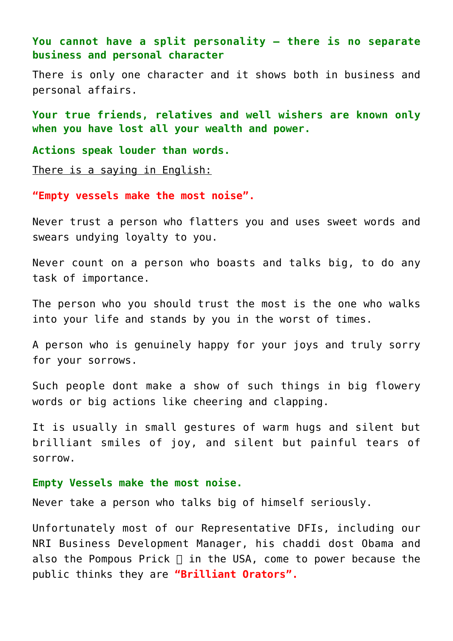**You cannot have a split personality – there is no separate business and personal character**

There is only one character and it shows both in business and personal affairs.

**Your true friends, relatives and well wishers are known only when you have lost all your wealth and power.**

**Actions speak louder than words.**

There is a saying in English:

**"Empty vessels make the most noise".** 

Never trust a person who flatters you and uses sweet words and swears undying loyalty to you.

Never count on a person who boasts and talks big, to do any task of importance.

The person who you should trust the most is the one who walks into your life and stands by you in the worst of times.

A person who is genuinely happy for your joys and truly sorry for your sorrows.

Such people dont make a show of such things in big flowery words or big actions like cheering and clapping.

It is usually in small gestures of warm hugs and silent but brilliant smiles of joy, and silent but painful tears of sorrow.

**Empty Vessels make the most noise.**

Never take a person who talks big of himself seriously.

Unfortunately most of our [Representative DFIs](http://aryadharma.world/fukus/repsofpeople/), including our [NRI Business Development Manager,](http://aryadharma.world/bharat/the-magic-of-the-nri-business-development-manager) his [chaddi dost](https://sites.google.com/site/brfdictionary/glossary/c/chaddi-buddy) [Obama](http://aryadharma.world/fukus/obama/) and also the [Pompous Prick](https://aryadharma.world/fukus/the-pompous-prick/)  $\sqcap$  in the USA, come to power because the public thinks they are **"Brilliant Orators".**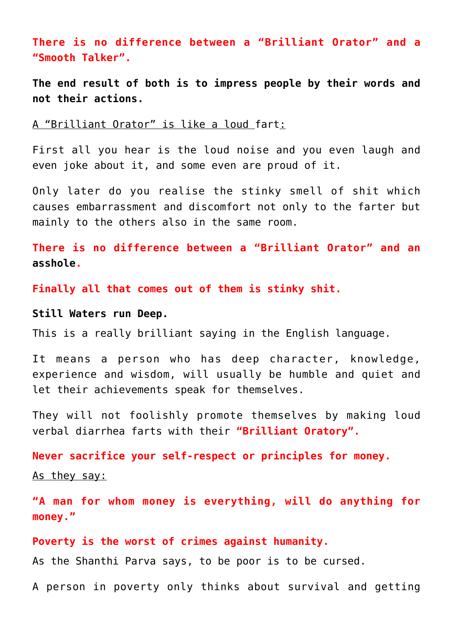**There is no difference between a "Brilliant Orator" and a "Smooth Talker".** 

**The end result of both is to impress people by their words and not their actions.**

A "Brilliant Orator" is like a loud [fart:](https://en.wikipedia.org/wiki/Flatulence)

First all you hear is the loud noise and you even laugh and even joke about it, and some even are proud of it.

Only later do you realise the stinky smell of shit which causes embarrassment and discomfort not only to the farter but mainly to the others also in the same room.

**There is no difference between a "Brilliant Orator" and an [asshole](https://en.wikipedia.org/wiki/Asshole).**

**Finally all that comes out of them is stinky shit.**

## **[Still Waters run Deep.](http://idioms.thefreedictionary.com/Still+Waters+Run+Deep)**

This is a really brilliant saying in the English language.

It means a person who has deep character, knowledge, experience and wisdom, will usually be humble and quiet and let their achievements speak for themselves.

They will not foolishly promote themselves by making loud verbal diarrhea farts with their **"Brilliant Oratory".**

**Never sacrifice your self-respect or principles for money.**

As they say:

**"A man for whom money is everything, will do anything for money."**

#### **Poverty is the worst of crimes against humanity.**

As the [Shanthi Parva](http://aryadharma.world/shantiparva/) says, to be poor is to be cursed.

A person in poverty only thinks about survival and getting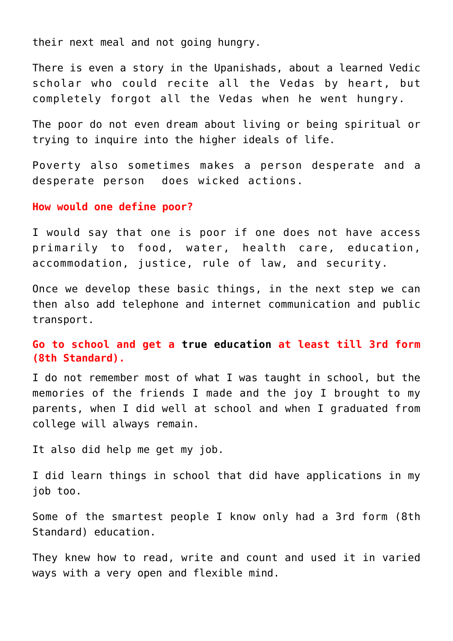their next meal and not going hungry.

There is even a story in the [Upanishads,](https://en.wikipedia.org/wiki/Upanishads) about a learned [Vedic](https://en.wikipedia.org/wiki/Vedic_and_Sanskrit_literature) scholar who could recite all the [Vedas](https://en.wikipedia.org/wiki/Vedas) by heart, but completely forgot all the [Vedas](https://en.wikipedia.org/wiki/Vedas) when he went hungry.

The poor do not even dream about living or being spiritual or trying to inquire into the higher ideals of life.

Poverty also sometimes makes a person desperate and a desperate person does wicked actions.

# **How would one define poor?**

I would say that one is poor if one does not have access primarily to food, water, health care, education, accommodation, justice, rule of law, and security.

Once we develop these basic things, in the next step we can then also add telephone and internet communication and public transport.

# **Go to school and get a [true education](http://aryadharma.world/articles/education/) at least till 3rd form (8th Standard).**

I do not remember most of what I was taught in school, but the memories of the friends I made and the joy I brought to my parents, when I did well at school and when I graduated from college will always remain.

It also did help me get my job.

I did learn things in school that did have applications in my job too.

Some of the smartest people I know only had a 3rd form (8th Standard) education.

They knew how to read, write and count and used it in varied ways with a very open and flexible mind.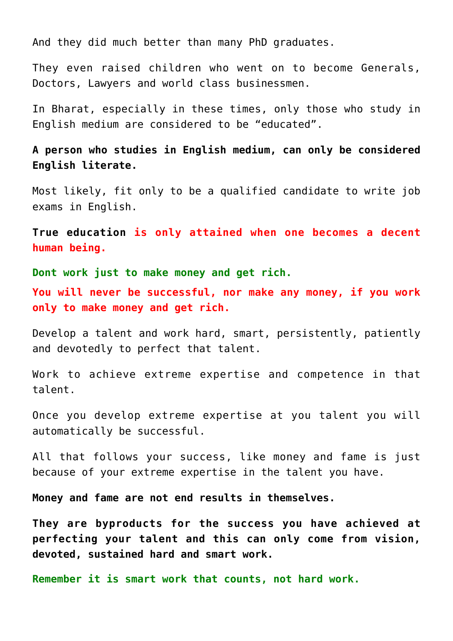And they did much better than many PhD graduates.

They even raised children who went on to become Generals, Doctors, Lawyers and world class businessmen.

In [Bharat,](http://aryadharma.world/bharat/) especially in these times, only those who study in English medium are considered to be "educated".

**A person who studies in English medium, can only be considered English literate.**

Most likely, fit only to be a qualified candidate to write job exams in English.

**[True education](http://aryadharma.world/articles/education/) is only attained when one becomes a decent human being.**

**Dont work just to make money and get rich.**

**You will never be successful, nor make any money, if you work only to make money and get rich.** 

Develop a talent and work hard, smart, persistently, patiently and devotedly to perfect that talent.

Work to achieve extreme expertise and competence in that talent.

Once you develop extreme expertise at you talent you will automatically be successful.

All that follows your success, like money and fame is just because of your extreme expertise in the talent you have.

**Money and fame are not end results in themselves.**

**They are byproducts for the success you have achieved at perfecting your talent and this can only come from vision, devoted, sustained hard and smart work.**

**Remember it is smart work that counts, not hard work.**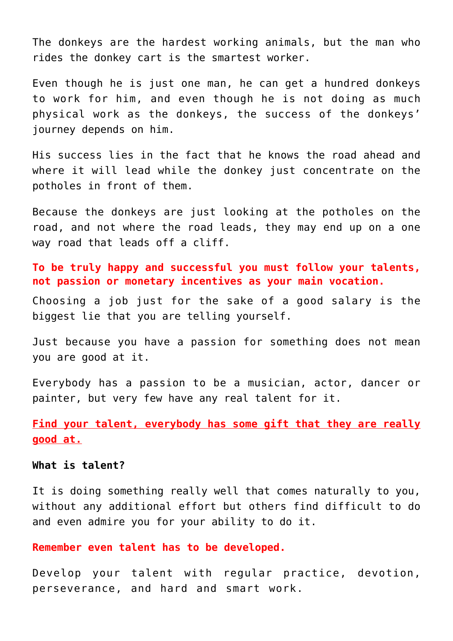The donkeys are the hardest working animals, but the man who rides the donkey cart is the smartest worker.

Even though he is just one man, he can get a hundred donkeys to work for him, and even though he is not doing as much physical work as the donkeys, the success of the donkeys' journey depends on him.

His success lies in the fact that he knows the road ahead and where it will lead while the donkey just concentrate on the potholes in front of them.

Because the donkeys are just looking at the potholes on the road, and not where the road leads, they may end up on a one way road that leads off a cliff.

**To be truly happy and successful you must follow your talents, not passion or monetary incentives as your main vocation.**

Choosing a job just for the sake of a good salary is the biggest lie that you are telling yourself.

Just because you have a passion for something does not mean you are good at it.

Everybody has a passion to be a musician, actor, dancer or painter, but very few have any real talent for it.

**Find your talent, everybody has some gift that they are really good at.**

## **What is talent?**

It is doing something really well that comes naturally to you, without any additional effort but others find difficult to do and even admire you for your ability to do it.

#### **Remember even talent has to be developed.**

Develop your talent with regular practice, devotion, perseverance, and hard and smart work.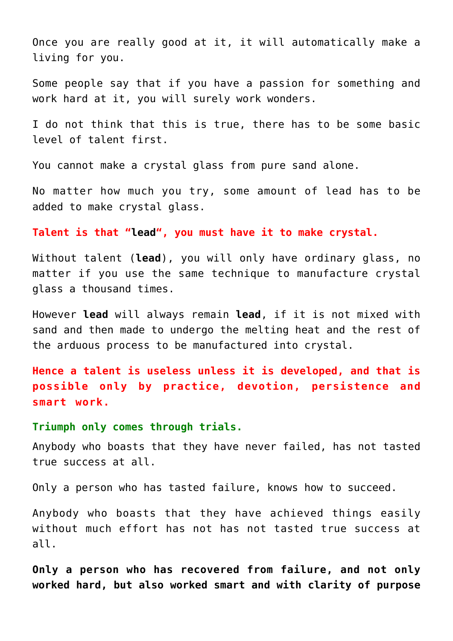Once you are really good at it, it will automatically make a living for you.

Some people say that if you have a passion for something and work hard at it, you will surely work wonders.

I do not think that this is true, there has to be some basic level of talent first.

You cannot make a [crystal glass](http://en.wikipedia.org/wiki/Lead_glass) from pure sand alone.

No matter how much you try, some amount of [lead](https://en.wikipedia.org/wiki/Lead) has to be added to make crystal glass.

**Talent is that "[lead](https://en.wikipedia.org/wiki/Lead)", you must have it to make crystal.**

Without talent (**[lead](https://en.wikipedia.org/wiki/Lead)**), you will only have ordinary [glass,](http://en.wikipedia.org/wiki/Glass) no matter if you use the same technique to manufacture crystal glass a thousand times.

However **[lead](https://en.wikipedia.org/wiki/Lead)** will always remain **[lead](https://en.wikipedia.org/wiki/Lead)**, if it is not mixed with sand and then made to undergo the melting heat and the rest of the arduous process to be manufactured into crystal.

**Hence a talent is useless unless it is developed, and that is possible only by practice, devotion, persistence and smart work.**

#### **Triumph only comes through trials.**

Anybody who boasts that they have never failed, has not tasted true success at all.

Only a person who has tasted failure, knows how to succeed.

Anybody who boasts that they have achieved things easily without much effort has not has not tasted true success at all.

**Only a person who has recovered from failure, and not only worked hard, but also worked smart and with clarity of purpose**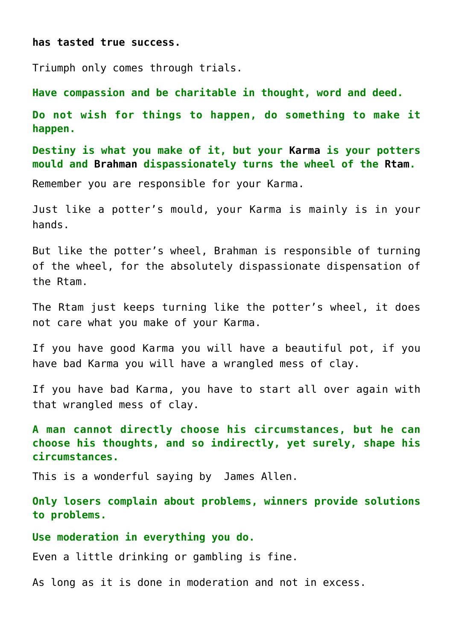**has tasted true success.**

Triumph only comes through trials.

**Have compassion and be charitable in thought, word and deed.**

**Do not wish for things to happen, do something to make it happen.**

**Destiny is what you make of it, but your [Karma](https://aryadharma.world/vedasandupanishads/karma-or-destiny/) is your potters mould and [Brahman](http://aryadharma.world/brahman/) dispassionately turns the wheel of the [Rtam](http://en.wikipedia.org/wiki/%E1%B9%9Ata).**

Remember you are responsible for your [Karma.](https://aryadharma.world/vedasandupanishads/karma-or-destiny/)

Just like a [potter's mould,](https://en.wikipedia.org/wiki/Potter%27s_wheel) your [Karma](https://aryadharma.world/vedasandupanishads/karma-or-destiny/) is mainly is in your hands.

But like the [potter's wheel,](https://en.wikipedia.org/wiki/Potter%27s_wheel) [Brahman](http://aryadharma.world/concepts/brahman/) is responsible of turning of the wheel, for the absolutely dispassionate dispensation of the [Rtam.](http://en.wikipedia.org/wiki/%E1%B9%9Ata)

The [Rtam](http://en.wikipedia.org/wiki/%E1%B9%9Ata) just keeps turning like the [potter's wheel](https://en.wikipedia.org/wiki/Potter%27s_wheel), it does not care what you make of your Karma.

If you have good [Karma](https://aryadharma.world/vedasandupanishads/karma-or-destiny/) you will have a beautiful pot, if you have bad [Karma](https://aryadharma.world/vedasandupanishads/karma-or-destiny/) you will have a wrangled mess of clay.

If you have bad [Karma](https://aryadharma.world/vedasandupanishads/karma-or-destiny/), you have to start all over again with that wrangled mess of clay.

**A man cannot directly choose his circumstances, but he can choose his thoughts, and so indirectly, yet surely, shape his circumstances.**

This is a wonderful saying by [James Allen.](https://en.wikipedia.org/wiki/James_Allen_(author))

**Only losers complain about problems, winners provide solutions to problems.**

**Use moderation in everything you do.**

Even a little drinking or gambling is fine.

As long as it is done in moderation and not in excess.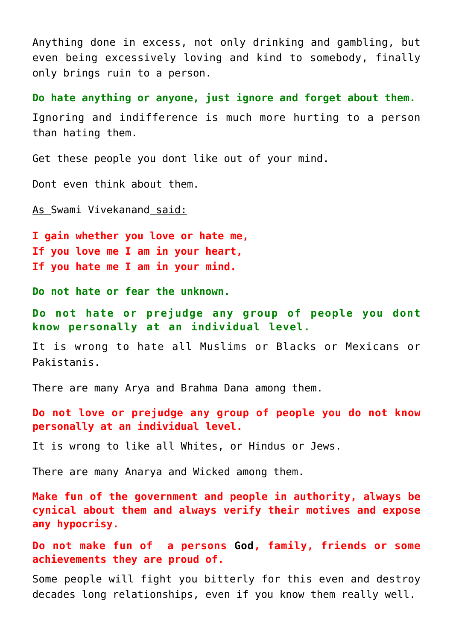Anything done in excess, not only drinking and gambling, but even being excessively loving and kind to somebody, finally only brings ruin to a person.

**Do hate anything or anyone, just ignore and forget about them.** Ignoring and indifference is much more hurting to a person than hating them.

Get these people you dont like out of your mind.

Dont even think about them.

As [Swami Vivekanand](http://en.wikipedia.org/wiki/Vivekananda,_Swami) said:

**I gain whether you love or hate me, If you love me I am in your heart, If you hate me I am in your mind.**

**Do not hate or fear the unknown.**

**Do not hate or prejudge any group of people you dont know personally at an individual level.**

It is wrong to hate all Muslims or Blacks or Mexicans or Pakistanis.

There are many [Arya](http://aryadharma.world/whoisanarya/) and [Brahma Dana](http://aryadharma.world/brahmadana/) among them.

**Do not love or prejudge any group of people you do not know personally at an individual level.**

It is wrong to like all Whites, or Hindus or Jews.

There are many [Anarya](http://aryadharma.world/whoisafool/) and [Wicked](http://aryadharma.world/wicked/) among them.

**Make fun of the government and people in authority, always be cynical about them and always verify their motives and expose any hypocrisy.**

**Do not make fun of a persons [God](http://aryadharma.world/brahman/), family, friends or some achievements they are proud of.**

Some people will fight you bitterly for this even and destroy decades long relationships, even if you know them really well.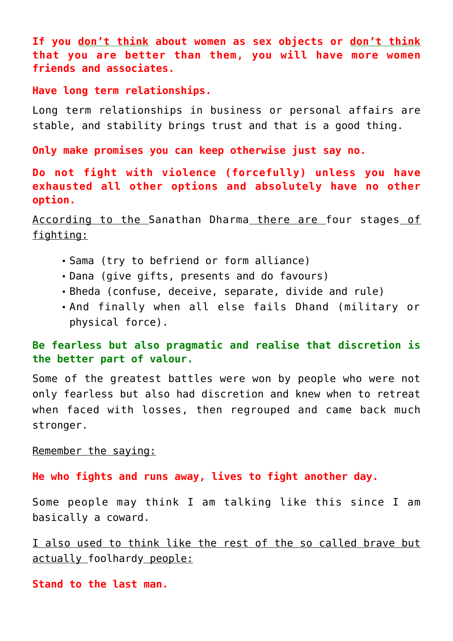**If you don't think about women as sex objects or don't think that you are better than them, you will have more women friends and associates.**

**Have long term relationships.**

Long term relationships in business or personal affairs are stable, and stability brings trust and that is a good thing.

**Only make promises you can keep otherwise just say no.**

**Do not fight with violence (forcefully) unless you have exhausted all other options and absolutely have no other option.**

According to the [Sanathan Dharma](http://aryadharma.world/vedasandupanishads/) there are [four stages](http://en.wikipedia.org/wiki/S%C4%81ma,_D%C4%81na,_Bheda,_Danda) of fighting:

- Sama (try to befriend or form alliance)
- Dana (give gifts, presents and do favours)
- Bheda (confuse, deceive, separate, divide and rule)
- And finally when all else fails Dhand (military or physical force).

# **Be fearless but also pragmatic and realise that discretion is the better part of valour.**

Some of the greatest battles were won by people who were not only fearless but also had discretion and knew when to retreat when faced with losses, then regrouped and came back much stronger.

Remember the saying:

**He who fights and runs away, lives to fight another day.**

Some people may think I am talking like this since I am basically a coward.

I also used to think like the rest of the so called brave but actually [foolhardy](https://www.merriam-webster.com/dictionary/foolhardy) people:

**Stand to the last man.**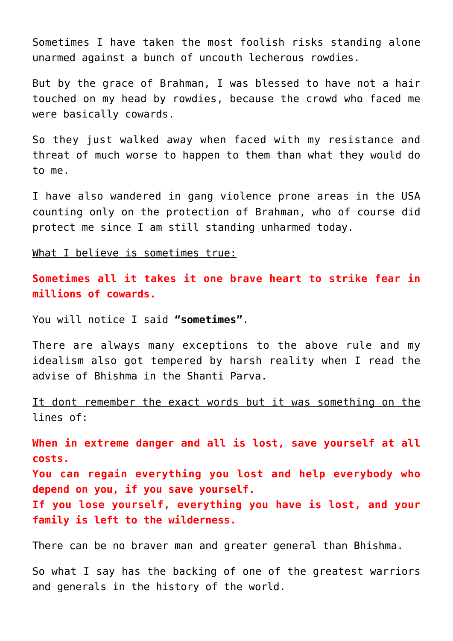Sometimes I have taken the most foolish risks standing alone unarmed against a bunch of uncouth lecherous rowdies.

But by the grace of [Brahman](https://aryadharma.world/concepts/brahman/), I was blessed to have not a hair touched on my head by rowdies, because the crowd who faced me were basically cowards.

So they just walked away when faced with my resistance and threat of much worse to happen to them than what they would do to me.

I have also wandered in gang violence prone areas in the USA counting only on the protection of [Brahman,](https://aryadharma.world/concepts/brahman/) who of course did protect me since I am still standing unharmed today.

What I believe is sometimes true:

**Sometimes all it takes it one brave heart to strike fear in millions of cowards.**

You will notice I said **"sometimes"**.

There are always many exceptions to the above rule and my idealism also got tempered by harsh reality when I read the advise of [Bhishma](https://en.wikipedia.org/wiki/Bhishma) in the [Shanti Parva](https://aryadharma.world/bharat/shantiparva/).

It dont remember the exact words but it was something on the lines of:

**When in extreme danger and all is lost, save yourself at all costs. You can regain everything you lost and help everybody who depend on you, if you save yourself. If you lose yourself, everything you have is lost, and your**

**family is left to the wilderness.**

There can be no braver man and greater general than [Bhishma](https://en.wikipedia.org/wiki/Bhishma).

So what I say has the backing of one of the greatest warriors and generals in the history of the world.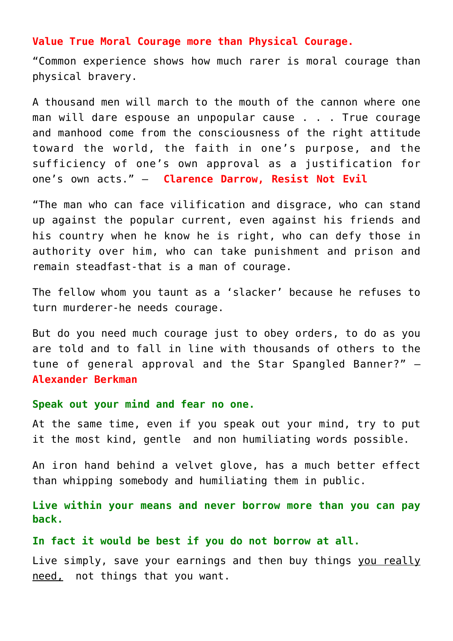#### **Value True Moral Courage more than Physical Courage.**

"Common experience shows how much rarer is moral courage than physical bravery.

A thousand men will march to the mouth of the cannon where one man will dare espouse an unpopular cause . . . True courage and manhood come from the consciousness of the right attitude toward the world, the faith in one's purpose, and the sufficiency of one's own approval as a justification for one's own acts." – **Clarence Darrow, Resist Not Evil**

"The man who can face vilification and disgrace, who can stand up against the popular current, even against his friends and his country when he know he is right, who can defy those in authority over him, who can take punishment and prison and remain steadfast-that is a man of courage.

The fellow whom you taunt as a 'slacker' because he refuses to turn murderer-he needs courage.

But do you need much courage just to obey orders, to do as you are told and to fall in line with thousands of others to the tune of general approval and the Star Spangled Banner?" – **Alexander Berkman**

## **Speak out your mind and fear no one.**

At the same time, even if you speak out your mind, try to put it the most kind, gentle and non humiliating words possible.

An iron hand behind a velvet glove, has a much better effect than whipping somebody and humiliating them in public.

**Live within your means and never borrow more than you can pay back.**

# **In fact it would be best if you do not borrow at all.**

Live simply, save your earnings and then buy things you really need, not things that you want.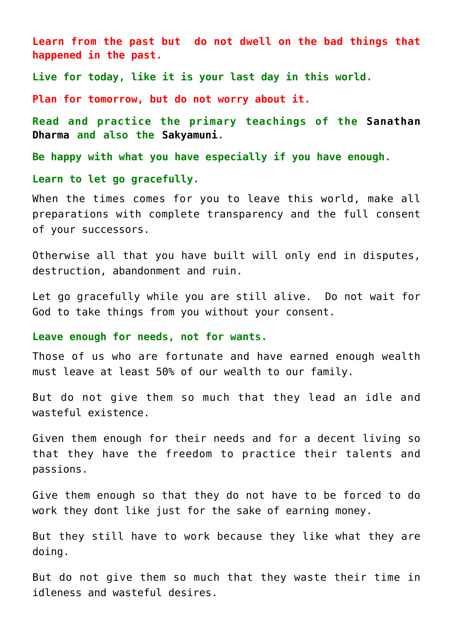**Learn from the past but do not dwell on the bad things that happened in the past.**

**Live for today, like it is your last day in this world.**

**Plan for tomorrow, but do not worry about it.**

**Read and practice the primary teachings of the [Sanathan](http://aryadharma.world/vedasandupanishads/) [Dharma](http://aryadharma.world/vedasandupanishads/) and also the [Sakyamuni](http://aryadharma.world/concepts/brahman/the-sakyamuni/).**

**Be happy with what you have especially if you have enough.**

**Learn to let go gracefully.**

When the times comes for you to leave this world, make all preparations with complete transparency and the full consent of your successors.

Otherwise all that you have built will only end in disputes, destruction, abandonment and ruin.

Let go gracefully while you are still alive. Do not wait for God to take things from you without your consent.

#### **Leave enough for needs, not for wants.**

Those of us who are fortunate and have earned enough wealth must leave at least 50% of our wealth to our family.

But do not give them so much that they lead an idle and wasteful existence.

Given them enough for their needs and for a decent living so that they have the freedom to practice their talents and passions.

Give them enough so that they do not have to be forced to do work they dont like just for the sake of earning money.

But they still have to work because they like what they are doing.

But do not give them so much that they waste their time in idleness and wasteful desires.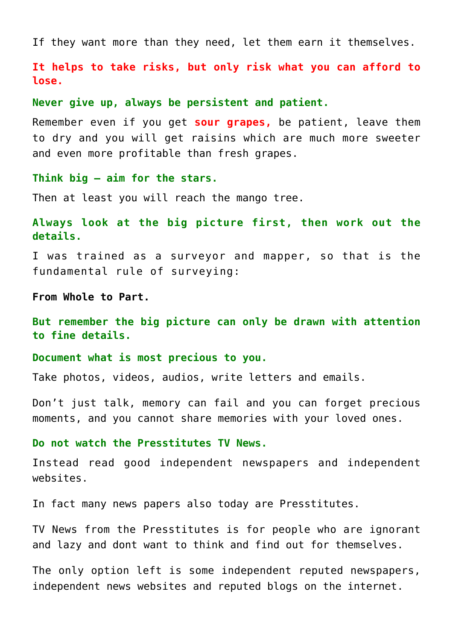If they want more than they need, let them earn it themselves.

**It helps to take risks, but only risk what you can afford to lose.**

#### **Never give up, always be persistent and patient.**

Remember even if you get **[sour grapes,](http://en.wikipedia.org/wiki/The_Fox_and_the_Grapes)** be patient, leave them to dry and you will get raisins which are much more sweeter and even more profitable than fresh grapes.

**Think big – aim for the stars.**

Then at least you will reach the mango tree.

**Always look at the big picture first, then work out the details.**

I was trained as a surveyor and mapper, so that is the fundamental rule of surveying:

**[From Whole to Part.](https://theconstructor.org/surveying/surveying-principles-methods-civil-engineering/13048/)**

**But remember the big picture can only be drawn with attention to fine details.**

# **Document what is most precious to you.**

Take photos, videos, audios, write letters and emails.

Don't just talk, memory can fail and you can forget precious moments, and you cannot share memories with your loved ones.

# **Do not watch the Presstitutes TV News.**

Instead read good independent newspapers and independent websites.

In fact many news papers also today are Presstitutes.

TV News from the Presstitutes is for people who are ignorant and lazy and dont want to think and find out for themselves.

The only option left is some independent reputed newspapers, independent news websites and reputed blogs on the internet.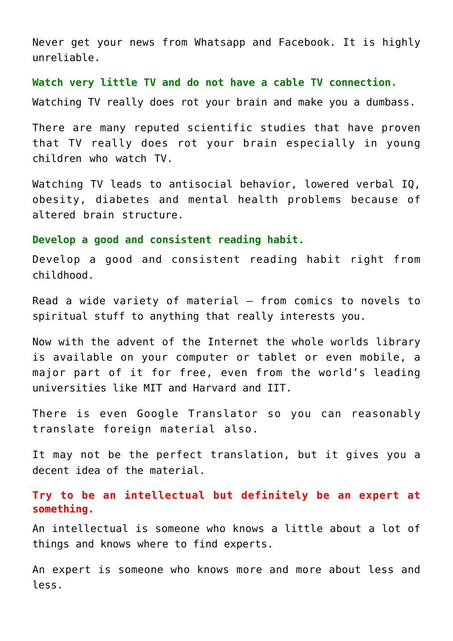Never get your news from Whatsapp and Facebook. It is highly unreliable.

**Watch very little TV and do not have a cable TV connection.** Watching TV really does rot your brain and make you a dumbass.

There are many reputed scientific studies that have proven that TV really does rot your brain especially in young children who watch TV.

Watching TV leads to antisocial behavior, lowered verbal IQ, obesity, diabetes and mental health problems because of altered brain structure.

# **Develop a good and consistent reading habit.**

Develop a good and consistent reading habit right from childhood.

Read a wide variety of material – from comics to novels to spiritual stuff to anything that really interests you.

Now with the advent of the Internet the whole worlds library is available on your computer or tablet or even mobile, a major part of it for free, even from the world's leading universities like [MIT](http://ocw.mit.edu/index.htm) and [Harvard](http://www.extension.harvard.edu/open-learning-initiative) and [IIT.](https://www.nptel.ac.in/)

There is even [Google Translator](http://translate.google.com/) so you can reasonably translate foreign material also.

It may not be the perfect translation, but it gives you a decent idea of the material.

**Try to be an intellectual but definitely be an expert at something.**

An intellectual is someone who knows a little about a lot of things and knows where to find experts.

An expert is someone who knows more and more about less and less.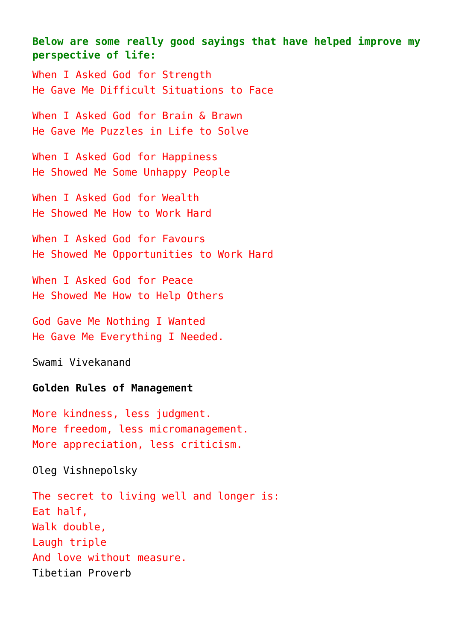**Below are some really good sayings that have helped improve my perspective of life:**

When I Asked God for Strength He Gave Me Difficult Situations to Face

When I Asked God for Brain & Brawn He Gave Me Puzzles in Life to Solve

When I Asked God for Happiness He Showed Me Some Unhappy People

When I Asked God for Wealth He Showed Me How to Work Hard

When I Asked God for Favours He Showed Me Opportunities to Work Hard

When I Asked God for Peace He Showed Me How to Help Others

God Gave Me Nothing I Wanted He Gave Me Everything I Needed.

[Swami Vivekanand](https://en.wikipedia.org/wiki/Swami_Vivekananda)

# **Golden Rules of Management**

More kindness, less judgment. More freedom, less micromanagement. More appreciation, less criticism.

[Oleg Vishnepolsky](https://www.linkedin.com/in/vishnepolsky/)

The secret to living well and longer is: Eat half, Walk double, Laugh triple And love without measure. Tibetian Proverb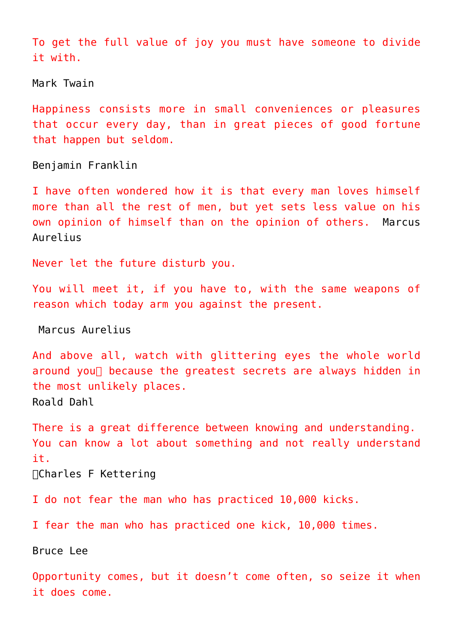To get the full value of joy you must have someone to divide it with.

Mark Twain

Happiness consists more in small conveniences or pleasures that occur every day, than in great pieces of good fortune that happen but seldom.

Benjamin Franklin

I have often wondered how it is that every man loves himself more than all the rest of men, but yet sets less value on his own opinion of himself than on the opinion of others.  [Marcus](https://en.wikipedia.org/wiki/Marcus_Aurelius) [Aurelius](https://en.wikipedia.org/wiki/Marcus_Aurelius)

Never let the future disturb you.

You will meet it, if you have to, with the same weapons of reason which today arm you against the present. 

[Marcus Aurelius](https://en.wikipedia.org/wiki/Marcus_Aurelius)

And above all, watch with glittering eyes the whole world around you because the greatest secrets are always hidden in the most unlikely places. Roald Dahl

There is a great difference between knowing and understanding. You can know a lot about something and not really understand it. Charles F Kettering

I do not fear the man who has practiced 10,000 kicks.

I fear the man who has practiced one kick, 10,000 times.

Bruce Lee

Opportunity comes, but it doesn't come often, so seize it when it does come.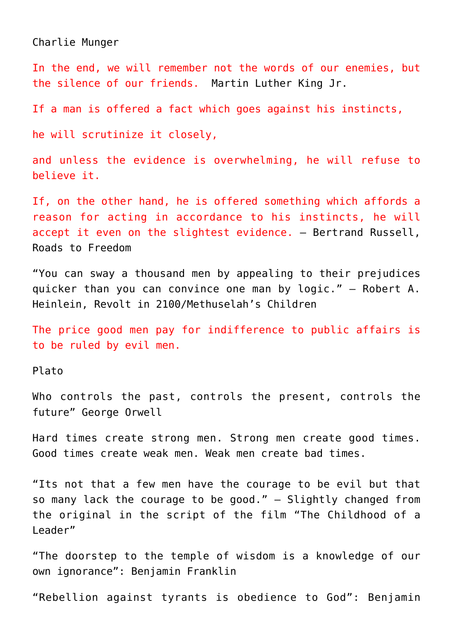Charlie Munger

In the end, we will remember not the words of our enemies, but the silence of our friends. Martin Luther King Jr.

If a man is offered a fact which goes against his instincts,

he will scrutinize it closely,

and unless the evidence is overwhelming, he will refuse to believe it.

If, on the other hand, he is offered something which affords a reason for acting in accordance to his instincts, he will accept it even on the slightest evidence. – Bertrand Russell, Roads to Freedom

"You can sway a thousand men by appealing to their prejudices quicker than you can convince one man by logic." – Robert A. Heinlein, Revolt in 2100/Methuselah's Children

The price good men pay for indifference to public affairs is to be ruled by evil men.

Plato

Who controls the past, controls the present, controls the future" George Orwell

Hard times create strong men. Strong men create good times. Good times create weak men. Weak men create bad times.

"Its not that a few men have the courage to be evil but that so many lack the courage to be good." – Slightly changed from the original in the script of the film "The Childhood of a Leader"

"The doorstep to the temple of wisdom is a knowledge of our own ignorance": Benjamin Franklin

"Rebellion against tyrants is obedience to God": Benjamin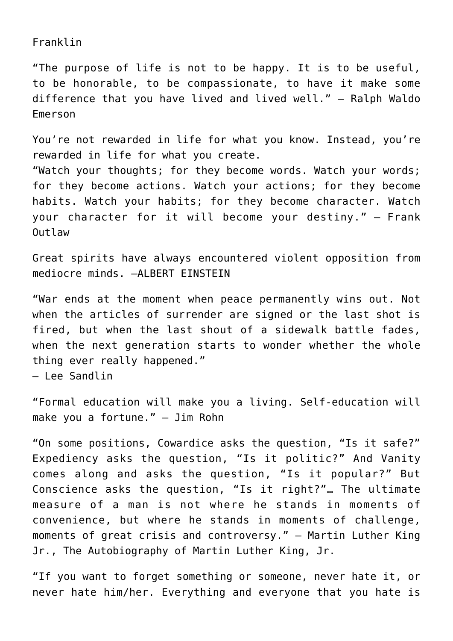Franklin

"The purpose of life is not to be happy. It is to be useful, to be honorable, to be compassionate, to have it make some difference that you have lived and lived well." ― Ralph Waldo Emerson

You're not rewarded in life for what you know. Instead, you're rewarded in life for what you create. "Watch your thoughts; for they become words. Watch your words; for they become actions. Watch your actions; for they become habits. Watch your habits; for they become character. Watch your character for it will become your destiny." — Frank  $0$ utlaw

Great spirits have always encountered violent opposition from mediocre minds. –ALBERT EINSTEIN

"War ends at the moment when peace permanently wins out. Not when the articles of surrender are signed or the last shot is fired, but when the last shout of a sidewalk battle fades, when the next generation starts to wonder whether the whole thing ever really happened."

— Lee Sandlin

"Formal education will make you a living. Self-education will make you a fortune." — Jim Rohn

"On some positions, Cowardice asks the question, "Is it safe?" Expediency asks the question, "Is it politic?" And Vanity comes along and asks the question, "Is it popular?" But Conscience asks the question, "Is it right?"… The ultimate measure of a man is not where he stands in moments of convenience, but where he stands in moments of challenge, moments of great crisis and controversy." — Martin Luther King Jr., The Autobiography of Martin Luther King, Jr.

"If you want to forget something or someone, never hate it, or never hate him/her. Everything and everyone that you hate is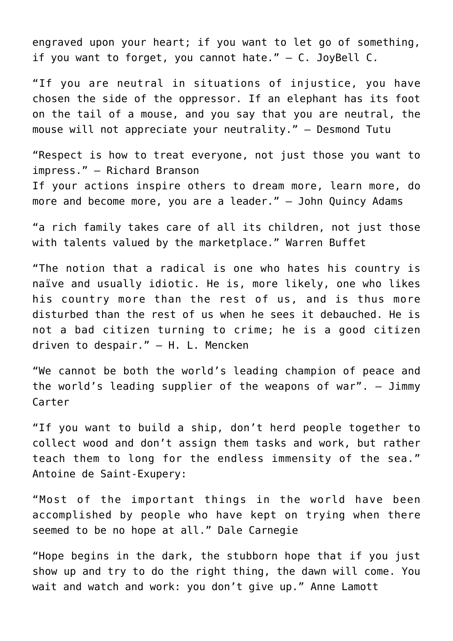engraved upon your heart; if you want to let go of something, if you want to forget, you cannot hate."  $-$  C. JoyBell C.

"If you are neutral in situations of injustice, you have chosen the side of the oppressor. If an elephant has its foot on the tail of a mouse, and you say that you are neutral, the mouse will not appreciate your neutrality." – Desmond Tutu

"Respect is how to treat everyone, not just those you want to impress." – Richard Branson

If your actions inspire others to dream more, learn more, do more and become more, you are a leader." – John Quincy Adams

"a rich family takes care of all its children, not just those with talents valued by the marketplace." Warren Buffet

"The notion that a radical is one who hates his country is naïve and usually idiotic. He is, more likely, one who likes his country more than the rest of us, and is thus more disturbed than the rest of us when he sees it debauched. He is not a bad citizen turning to crime; he is a good citizen driven to despair." – H. L. Mencken

"We cannot be both the world's leading champion of peace and the world's leading supplier of the weapons of war".  $-$  Jimmy Carter

"If you want to build a ship, don't herd people together to collect wood and don't assign them tasks and work, but rather teach them to long for the endless immensity of the sea." Antoine de Saint-Exupery:

"Most of the important things in the world have been accomplished by people who have kept on trying when there seemed to be no hope at all." Dale Carnegie

"Hope begins in the dark, the stubborn hope that if you just show up and try to do the right thing, the dawn will come. You wait and watch and work: you don't give up." Anne Lamott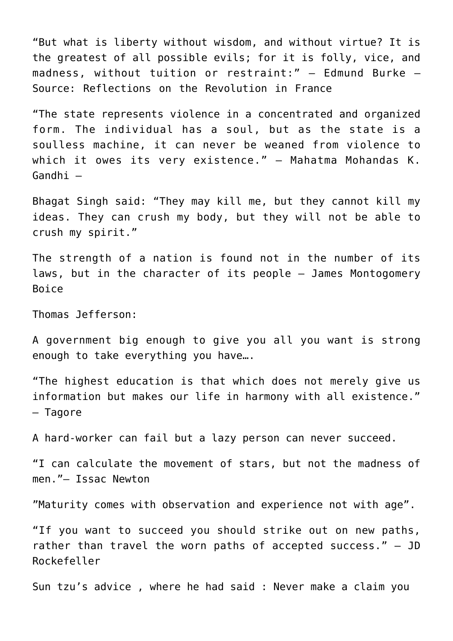"But what is liberty without wisdom, and without virtue? It is the greatest of all possible evils; for it is folly, vice, and madness, without tuition or restraint:" – Edmund Burke – Source: Reflections on the Revolution in France

"The state represents violence in a concentrated and organized form. The individual has a soul, but as the state is a soulless machine, it can never be weaned from violence to which it owes its very existence." — Mahatma Mohandas K. Gandhi –

Bhagat Singh said: "They may kill me, but they cannot kill my ideas. They can crush my body, but they will not be able to crush my spirit."

The strength of a nation is found not in the number of its laws, but in the character of its people — James Montogomery Boice

Thomas Jefferson:

A government big enough to give you all you want is strong enough to take everything you have….

"The highest education is that which does not merely give us information but makes our life in harmony with all existence." – Tagore

A hard-worker can fail but a lazy person can never succeed.

"I can calculate the movement of stars, but not the madness of men."– Issac Newton

"Maturity comes with observation and experience not with age".

"If you want to succeed you should strike out on new paths, rather than travel the worn paths of accepted success." — JD Rockefeller

Sun tzu's advice , where he had said : Never make a claim you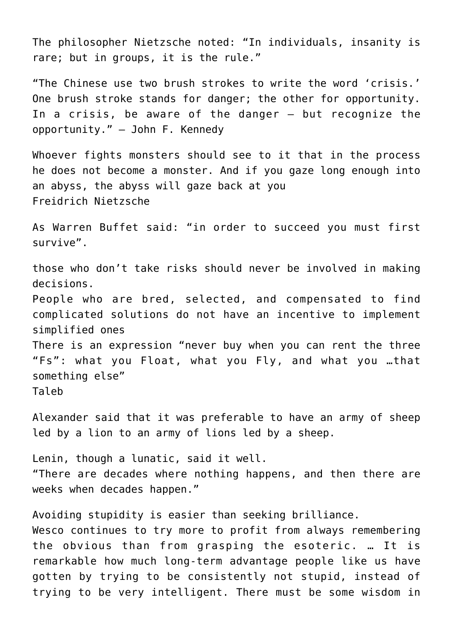The philosopher Nietzsche noted: "In individuals, insanity is rare; but in groups, it is the rule."

"The Chinese use two brush strokes to write the word 'crisis.' One brush stroke stands for danger; the other for opportunity. In a crisis, be aware of the danger — but recognize the opportunity." ― John F. Kennedy

Whoever fights monsters should see to it that in the process he does not become a monster. And if you gaze long enough into an abyss, the abyss will gaze back at you Freidrich Nietzsche

As Warren Buffet said: "in order to succeed you must first survive".

those who don't take risks should never be involved in making decisions. People who are bred, selected, and compensated to find complicated solutions do not have an incentive to implement simplified ones There is an expression "never buy when you can rent the three "Fs": what you Float, what you Fly, and what you …that something else" Taleb

Alexander said that it was preferable to have an army of sheep led by a lion to an army of lions led by a sheep.

Lenin, though a lunatic, said it well. "There are decades where nothing happens, and then there are weeks when decades happen."

Avoiding stupidity is easier than seeking brilliance. Wesco continues to try more to profit from always remembering the obvious than from grasping the esoteric. … It is remarkable how much long-term advantage people like us have gotten by trying to be consistently not stupid, instead of trying to be very intelligent. There must be some wisdom in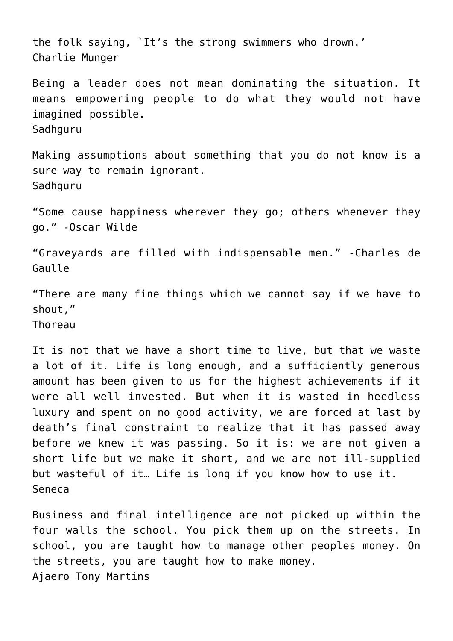the folk saying, `It's the strong swimmers who drown.' Charlie Munger

Being a leader does not mean dominating the situation. It means empowering people to do what they would not have imagined possible. **Sadhguru** 

Making assumptions about something that you do not know is a sure way to remain ignorant. Sadhguru

"Some cause happiness wherever they go; others whenever they go." -Oscar Wilde

"Graveyards are filled with indispensable men." -Charles de Gaulle

"There are many fine things which we cannot say if we have to shout," Thoreau

It is not that we have a short time to live, but that we waste a lot of it. Life is long enough, and a sufficiently generous amount has been given to us for the highest achievements if it were all well invested. But when it is wasted in heedless luxury and spent on no good activity, we are forced at last by death's final constraint to realize that it has passed away before we knew it was passing. So it is: we are not given a short life but we make it short, and we are not ill-supplied but wasteful of it… Life is long if you know how to use it. Seneca

Business and final intelligence are not picked up within the four walls the school. You pick them up on the streets. In school, you are taught how to manage other peoples money. On the streets, you are taught how to make money. Ajaero Tony Martins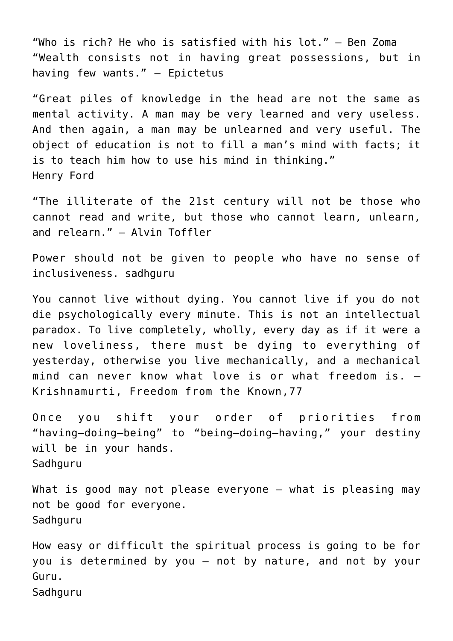"Who is rich? He who is satisfied with his lot." — Ben Zoma "Wealth consists not in having great possessions, but in having few wants." — Epictetus

"Great piles of knowledge in the head are not the same as mental activity. A man may be very learned and very useless. And then again, a man may be unlearned and very useful. The object of education is not to fill a man's mind with facts; it is to teach him how to use his mind in thinking." Henry Ford

"The illiterate of the 21st century will not be those who cannot read and write, but those who cannot learn, unlearn, and relearn." — Alvin Toffler

Power should not be given to people who have no sense of inclusiveness. sadhguru

You cannot live without dying. You cannot live if you do not die psychologically every minute. This is not an intellectual paradox. To live completely, wholly, every day as if it were a new loveliness, there must be dying to everything of yesterday, otherwise you live mechanically, and a mechanical mind can never know what love is or what freedom is. – Krishnamurti, Freedom from the Known,77

Once you shift your order of priorities from "having–doing–being" to "being–doing–having," your destiny will be in your hands. Sadhguru

What is good may not please everyone – what is pleasing may not be good for everyone. Sadhguru

How easy or difficult the spiritual process is going to be for you is determined by you – not by nature, and not by your Guru. Sadhguru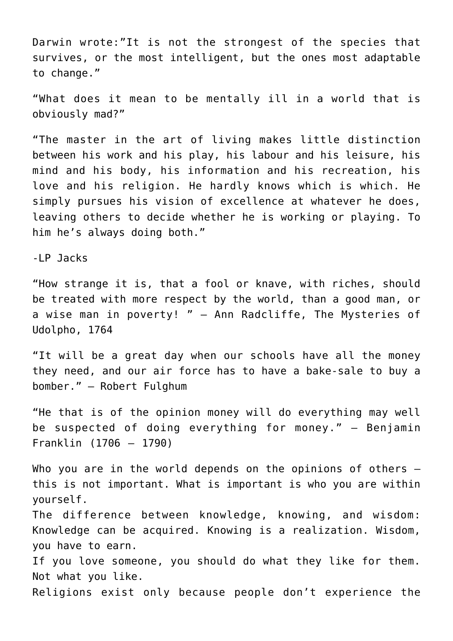Darwin wrote:"It is not the strongest of the species that survives, or the most intelligent, but the ones most adaptable to change."

"What does it mean to be mentally ill in a world that is obviously mad?"

"The master in the art of living makes little distinction between his work and his play, his labour and his leisure, his mind and his body, his information and his recreation, his love and his religion. He hardly knows which is which. He simply pursues his vision of excellence at whatever he does, leaving others to decide whether he is working or playing. To him he's always doing both."

-LP Jacks

"How strange it is, that a fool or knave, with riches, should be treated with more respect by the world, than a good man, or a wise man in poverty! " – Ann Radcliffe, The Mysteries of Udolpho, 1764

"It will be a great day when our schools have all the money they need, and our air force has to have a bake-sale to buy a bomber." – Robert Fulghum

"He that is of the opinion money will do everything may well be suspected of doing everything for money." – Benjamin Franklin (1706 – 1790)

Who you are in the world depends on the opinions of others  $$ this is not important. What is important is who you are within yourself.

The difference between knowledge, knowing, and wisdom: Knowledge can be acquired. Knowing is a realization. Wisdom, you have to earn.

If you love someone, you should do what they like for them. Not what you like.

Religions exist only because people don't experience the